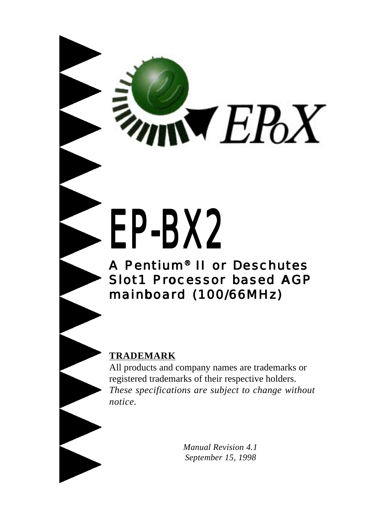# EP-BX2

A Pentium® II or Deschutes Slot1 Processor based AGP mainboard (100/66MHz)

 $m$ N $ERX$ 

#### **TRADEMARK**

All products and company names are trademarks or registered trademarks of their respective holders. *These specifications are subject to change without notice.*

> *Manual Revision 4.1 September 15, 1998*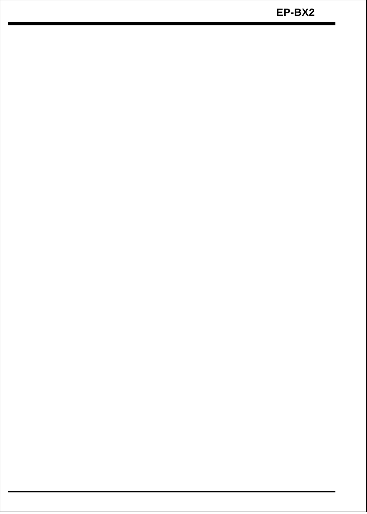**EP-BX2**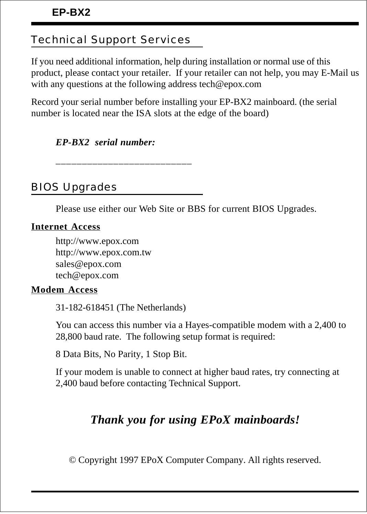# Technical Support Services

If you need additional information, help during installation or normal use of this product, please contact your retailer. If your retailer can not help, you may E-Mail us with any questions at the following address tech@epox.com

Record your serial number before installing your EP-BX2 mainboard. (the serial number is located near the ISA slots at the edge of the board)

#### *EP-BX2 serial number:*

\_\_\_\_\_\_\_\_\_\_\_\_\_\_\_\_\_\_\_\_\_\_\_\_\_\_

# BIOS Upgrades

Please use either our Web Site or BBS for current BIOS Upgrades.

#### **Internet Access**

http://www.epox.com http://www.epox.com.tw sales@epox.com tech@epox.com

#### **Modem Access**

31-182-618451 (The Netherlands)

You can access this number via a Hayes-compatible modem with a 2,400 to 28,800 baud rate. The following setup format is required:

8 Data Bits, No Parity, 1 Stop Bit.

If your modem is unable to connect at higher baud rates, try connecting at 2,400 baud before contacting Technical Support.

# *Thank you for using EPoX mainboards!*

© Copyright 1997 EPoX Computer Company. All rights reserved.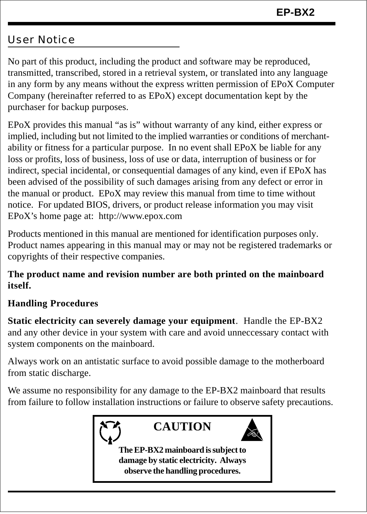# User Notice

No part of this product, including the product and software may be reproduced, transmitted, transcribed, stored in a retrieval system, or translated into any language in any form by any means without the express written permission of EPoX Computer Company (hereinafter referred to as EPoX) except documentation kept by the purchaser for backup purposes.

EPoX provides this manual "as is" without warranty of any kind, either express or implied, including but not limited to the implied warranties or conditions of merchantability or fitness for a particular purpose. In no event shall EPoX be liable for any loss or profits, loss of business, loss of use or data, interruption of business or for indirect, special incidental, or consequential damages of any kind, even if EPoX has been advised of the possibility of such damages arising from any defect or error in the manual or product. EPoX may review this manual from time to time without notice. For updated BIOS, drivers, or product release information you may visit EPoX's home page at: http://www.epox.com

Products mentioned in this manual are mentioned for identification purposes only. Product names appearing in this manual may or may not be registered trademarks or copyrights of their respective companies.

#### **The product name and revision number are both printed on the mainboard itself.**

#### **Handling Procedures**

**Static electricity can severely damage your equipment**. Handle the EP-BX2 and any other device in your system with care and avoid unneccessary contact with system components on the mainboard.

Always work on an antistatic surface to avoid possible damage to the motherboard from static discharge.

We assume no responsibility for any damage to the EP-BX2 mainboard that results from failure to follow installation instructions or failure to observe safety precautions.

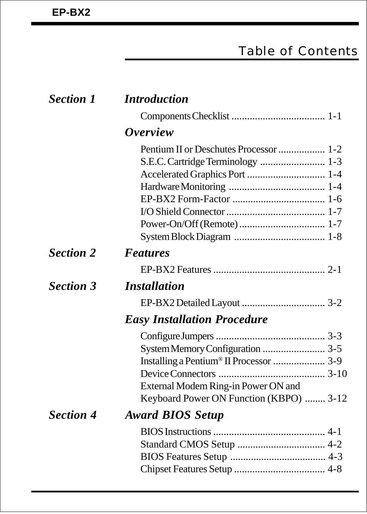# Table of Contents

| <b>Section 1</b> | <b>Introduction</b>                     |  |  |  |  |  |  |
|------------------|-----------------------------------------|--|--|--|--|--|--|
|                  |                                         |  |  |  |  |  |  |
|                  | Overview                                |  |  |  |  |  |  |
|                  | Accelerated Graphics Port  1-4          |  |  |  |  |  |  |
| <b>Section 2</b> | <b>Features</b>                         |  |  |  |  |  |  |
|                  |                                         |  |  |  |  |  |  |
| <b>Section 3</b> | <i><b>Installation</b></i>              |  |  |  |  |  |  |
|                  |                                         |  |  |  |  |  |  |
|                  | <b>Easy Installation Procedure</b>      |  |  |  |  |  |  |
|                  |                                         |  |  |  |  |  |  |
|                  |                                         |  |  |  |  |  |  |
|                  | Installing a Pentium® II Processor  3-9 |  |  |  |  |  |  |
|                  | External Modem Ring-in Power ON and     |  |  |  |  |  |  |
|                  | Keyboard Power ON Function (KBPO)  3-12 |  |  |  |  |  |  |
| <b>Section 4</b> | <b>Award BIOS Setup</b>                 |  |  |  |  |  |  |
|                  |                                         |  |  |  |  |  |  |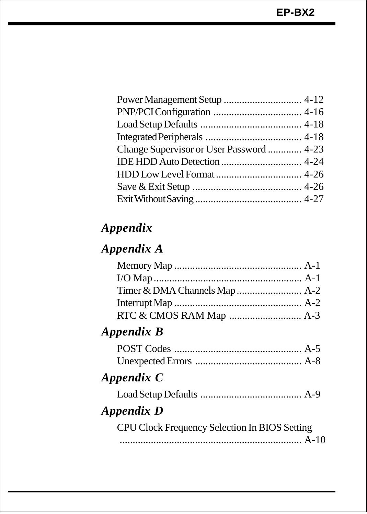| Change Supervisor or User Password  4-23 |  |
|------------------------------------------|--|
|                                          |  |
|                                          |  |
|                                          |  |
|                                          |  |
|                                          |  |

# *Appendix*

# *Appendix A*

| Appendix B                                    |
|-----------------------------------------------|
|                                               |
|                                               |
| Appendix C                                    |
|                                               |
| Appendix D                                    |
| CPU Clock Frequency Selection In BIOS Setting |
|                                               |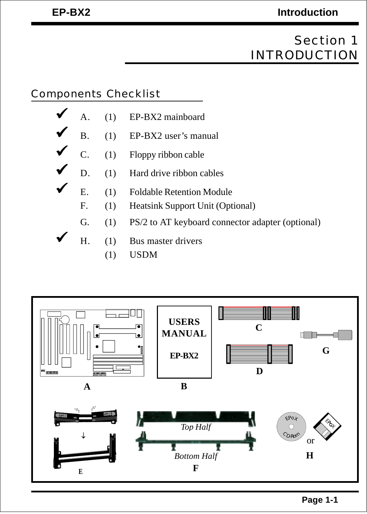# Section 1 INTRODUCTION

# Components Checklist

|                 |     | A. (1) EP-BX2 mainboard                                 |
|-----------------|-----|---------------------------------------------------------|
|                 |     | $\blacktriangleright$ B. (1) EP-BX2 user's manual       |
|                 |     | $\checkmark$ C. (1) Floppy ribbon cable                 |
|                 |     | $\triangleright$ D. (1) Hard drive ribbon cables        |
| $\checkmark$ E. |     | (1) Foldable Retention Module                           |
| F.              |     | (1) Heatsink Support Unit (Optional)                    |
|                 |     | G. (1) PS/2 to AT keyboard connector adapter (optional) |
| H <sub>1</sub>  |     | (1) Bus master drivers                                  |
|                 | (1) | USDM                                                    |

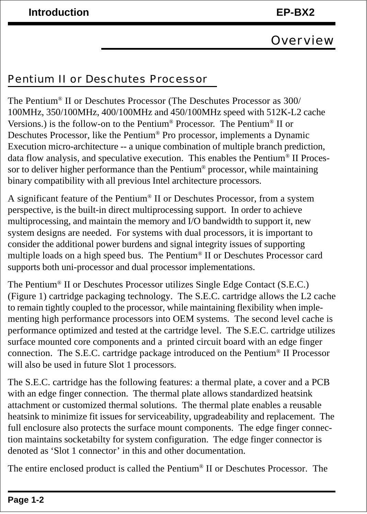# Overview

# Pentium II or Deschutes Processor

The Pentium® II or Deschutes Processor (The Deschutes Processor as 300/ 100MHz, 350/100MHz, 400/100MHz and 450/100MHz speed with 512K-L2 cache Versions.) is the follow-on to the Pentium® Processor. The Pentium® II or Deschutes Processor, like the Pentium® Pro processor, implements a Dynamic Execution micro-architecture -- a unique combination of multiple branch prediction, data flow analysis, and speculative execution. This enables the Pentium® II Processor to deliver higher performance than the Pentium® processor, while maintaining binary compatibility with all previous Intel architecture processors.

A significant feature of the Pentium® II or Deschutes Processor, from a system perspective, is the built-in direct multiprocessing support. In order to achieve multiprocessing, and maintain the memory and I/O bandwidth to support it, new system designs are needed. For systems with dual processors, it is important to consider the additional power burdens and signal integrity issues of supporting multiple loads on a high speed bus. The Pentium® II or Deschutes Processor card supports both uni-processor and dual processor implementations.

The Pentium® II or Deschutes Processor utilizes Single Edge Contact (S.E.C.) (Figure 1) cartridge packaging technology. The S.E.C. cartridge allows the L2 cache to remain tightly coupled to the processor, while maintaining flexibility when implementing high performance processors into OEM systems. The second level cache is performance optimized and tested at the cartridge level. The S.E.C. cartridge utilizes surface mounted core components and a printed circuit board with an edge finger connection. The S.E.C. cartridge package introduced on the Pentium® II Processor will also be used in future Slot 1 processors.

The S.E.C. cartridge has the following features: a thermal plate, a cover and a PCB with an edge finger connection. The thermal plate allows standardized heatsink attachment or customized thermal solutions. The thermal plate enables a reusable heatsink to minimize fit issues for serviceability, upgradeability and replacement. The full enclosure also protects the surface mount components. The edge finger connection maintains socketabilty for system configuration. The edge finger connector is denoted as 'Slot 1 connector' in this and other documentation.

The entire enclosed product is called the Pentium® II or Deschutes Processor. The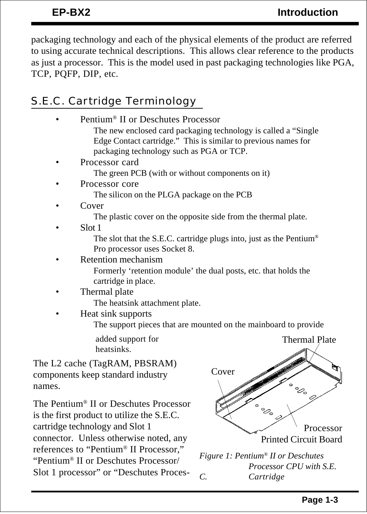packaging technology and each of the physical elements of the product are referred to using accurate technical descriptions. This allows clear reference to the products as just a processor. This is the model used in past packaging technologies like PGA, TCP, PQFP, DIP, etc.

# S.E.C. Cartridge Terminology

• Pentium® II or Deschutes Processor The new enclosed card packaging technology is called a "Single Edge Contact cartridge." This is similar to previous names for packaging technology such as PGA or TCP.

Processor card The green PCB (with or without components on it)

- Processor core The silicon on the PLGA package on the PCB
- **Cover**

The plastic cover on the opposite side from the thermal plate.

• Slot 1

The slot that the S.E.C. cartridge plugs into, just as the Pentium<sup>®</sup> Pro processor uses Socket 8.

• Retention mechanism

Formerly 'retention module' the dual posts, etc. that holds the cartridge in place.

- Thermal plate The heatsink attachment plate.
- Heat sink supports

The support pieces that are mounted on the mainboard to provide

added support for heatsinks.

The L2 cache (TagRAM, PBSRAM) components keep standard industry names.

The Pentium® II or Deschutes Processor is the first product to utilize the S.E.C. cartridge technology and Slot 1 connector. Unless otherwise noted, any references to "Pentium® II Processor," "Pentium® II or Deschutes Processor/ Slot 1 processor" or "Deschutes Proces-



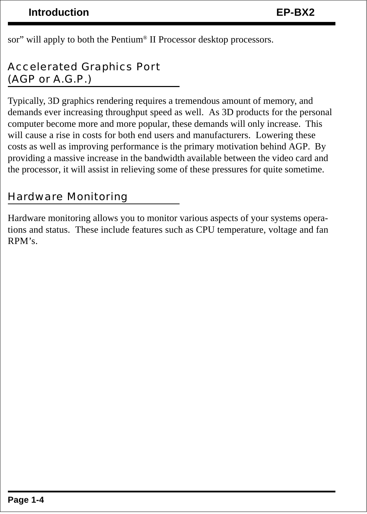sor" will apply to both the Pentium® II Processor desktop processors.

Accelerated Graphics Port (AGP or A.G.P.)

Typically, 3D graphics rendering requires a tremendous amount of memory, and demands ever increasing throughput speed as well. As 3D products for the personal computer become more and more popular, these demands will only increase. This will cause a rise in costs for both end users and manufacturers. Lowering these costs as well as improving performance is the primary motivation behind AGP. By providing a massive increase in the bandwidth available between the video card and the processor, it will assist in relieving some of these pressures for quite sometime.

# Hardware Monitoring

Hardware monitoring allows you to monitor various aspects of your systems operations and status. These include features such as CPU temperature, voltage and fan RPM's.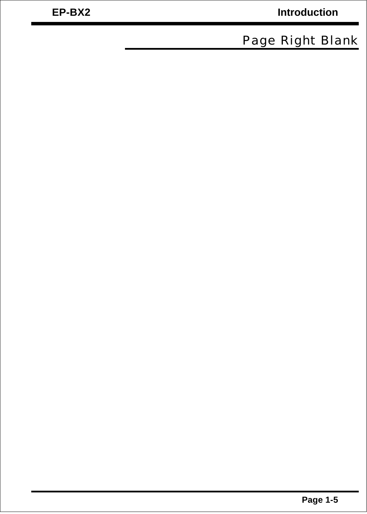# Page Right Blank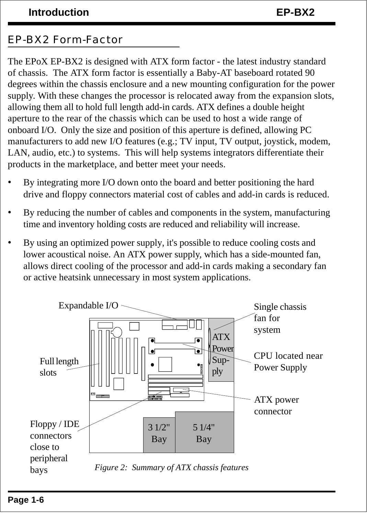### EP-BX2 Form-Factor

The EPoX EP-BX2 is designed with ATX form factor - the latest industry standard of chassis. The ATX form factor is essentially a Baby-AT baseboard rotated 90 degrees within the chassis enclosure and a new mounting configuration for the power supply. With these changes the processor is relocated away from the expansion slots, allowing them all to hold full length add-in cards. ATX defines a double height aperture to the rear of the chassis which can be used to host a wide range of onboard I/O. Only the size and position of this aperture is defined, allowing PC manufacturers to add new I/O features (e.g.; TV input, TV output, joystick, modem, LAN, audio, etc.) to systems. This will help systems integrators differentiate their products in the marketplace, and better meet your needs.

- By integrating more I/O down onto the board and better positioning the hard drive and floppy connectors material cost of cables and add-in cards is reduced.
- By reducing the number of cables and components in the system, manufacturing time and inventory holding costs are reduced and reliability will increase.
- By using an optimized power supply, it's possible to reduce cooling costs and lower acoustical noise. An ATX power supply, which has a side-mounted fan, allows direct cooling of the processor and add-in cards making a secondary fan or active heatsink unnecessary in most system applications.

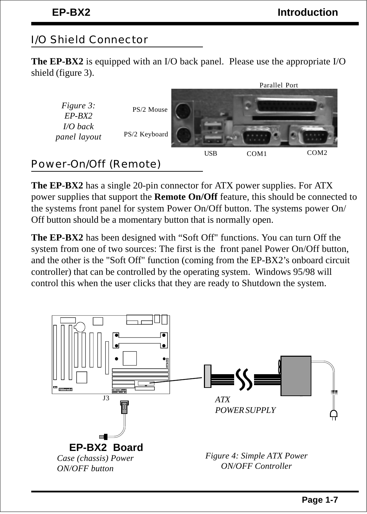# I/O Shield Connector

**The EP-BX2** is equipped with an I/O back panel. Please use the appropriate I/O shield (figure 3).



**The EP-BX2** has a single 20-pin connector for ATX power supplies. For ATX power supplies that support the **Remote On/Off** feature, this should be connected to the systems front panel for system Power On/Off button. The systems power On/ Off button should be a momentary button that is normally open.

**The EP-BX2** has been designed with "Soft Off" functions. You can turn Off the system from one of two sources: The first is the front panel Power On/Off button, and the other is the "Soft Off" function (coming from the EP-BX2's onboard circuit controller) that can be controlled by the operating system. Windows 95/98 will control this when the user clicks that they are ready to Shutdown the system.

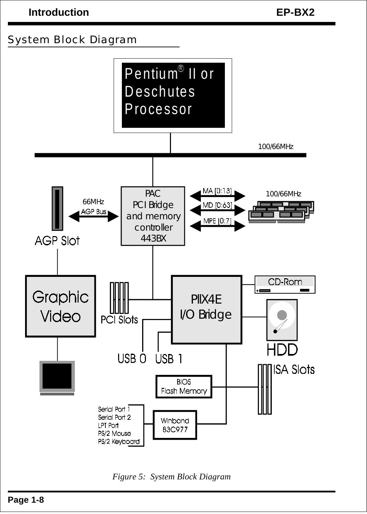# System Block Diagram



*Figure 5: System Block Diagram*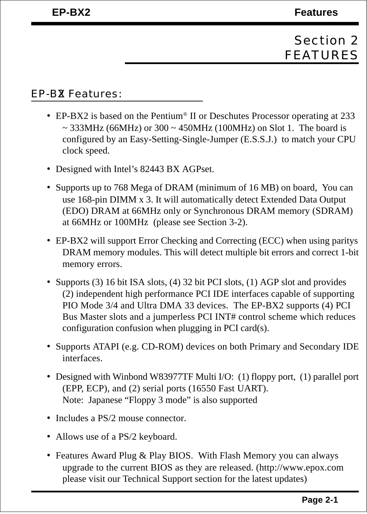# Section 2 FEATURES

### **FP-BX Features:**

- EP-BX2 is based on the Pentium<sup>®</sup> II or Deschutes Processor operating at 233  $\sim$  333MHz (66MHz) or 300  $\sim$  450MHz (100MHz) on Slot 1. The board is configured by an Easy-Setting-Single-Jumper (E.S.S.J.) to match your CPU clock speed.
- Designed with Intel's 82443 BX AGPset.
- Supports up to 768 Mega of DRAM (minimum of 16 MB) on board, You can use 168-pin DIMM x 3. It will automatically detect Extended Data Output (EDO) DRAM at 66MHz only or Synchronous DRAM memory (SDRAM) at 66MHz or 100MHz (please see Section 3-2).
- EP-BX2 will support Error Checking and Correcting (ECC) when using paritys DRAM memory modules. This will detect multiple bit errors and correct 1-bit memory errors.
- Supports (3) 16 bit ISA slots, (4) 32 bit PCI slots, (1) AGP slot and provides (2) independent high performance PCI IDE interfaces capable of supporting PIO Mode 3/4 and Ultra DMA 33 devices. The EP-BX2 supports (4) PCI Bus Master slots and a jumperless PCI INT# control scheme which reduces configuration confusion when plugging in PCI card(s).
- Supports ATAPI (e.g. CD-ROM) devices on both Primary and Secondary IDE interfaces.
- Designed with Winbond W83977TF Multi I/O: (1) floppy port, (1) parallel port (EPP, ECP), and (2) serial ports (16550 Fast UART). Note: Japanese "Floppy 3 mode" is also supported
- Includes a PS/2 mouse connector.
- Allows use of a PS/2 keyboard.
- Features Award Plug & Play BIOS. With Flash Memory you can always upgrade to the current BIOS as they are released. (http://www.epox.com please visit our Technical Support section for the latest updates)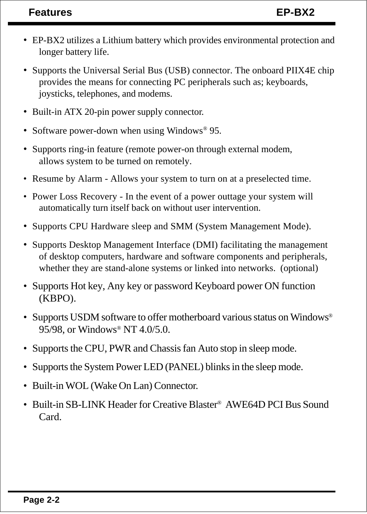- EP-BX2 utilizes a Lithium battery which provides environmental protection and longer battery life.
- Supports the Universal Serial Bus (USB) connector. The onboard PIIX4E chip provides the means for connecting PC peripherals such as; keyboards, joysticks, telephones, and modems.
- Built-in ATX 20-pin power supply connector.
- Software power-down when using Windows<sup>®</sup> 95.
- Supports ring-in feature (remote power-on through external modem, allows system to be turned on remotely.
- Resume by Alarm Allows your system to turn on at a preselected time.
- Power Loss Recovery In the event of a power outtage your system will automatically turn itself back on without user intervention.
- Supports CPU Hardware sleep and SMM (System Management Mode).
- Supports Desktop Management Interface (DMI) facilitating the management of desktop computers, hardware and software components and peripherals, whether they are stand-alone systems or linked into networks. (optional)
- Supports Hot key, Any key or password Keyboard power ON function (KBPO).
- Supports USDM software to offer motherboard various status on Windows® 95/98, or Windows® NT 4.0/5.0.
- Supports the CPU, PWR and Chassis fan Auto stop in sleep mode.
- Supports the System Power LED (PANEL) blinks in the sleep mode.
- Built-in WOL (Wake On Lan) Connector.
- Built-in SB-LINK Header for Creative Blaster® AWE64D PCI Bus Sound Card.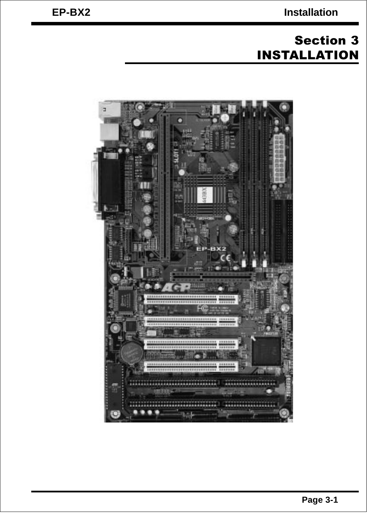# Section 3 INSTALLATION

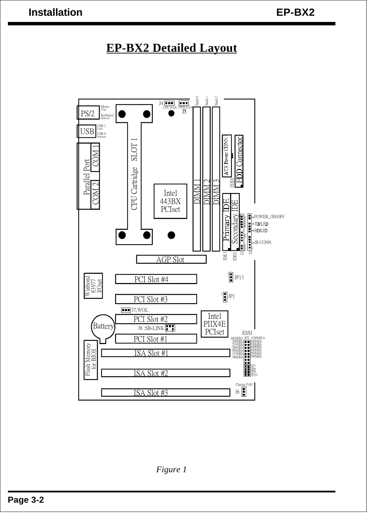# **EP-BX2 Detailed Layout**



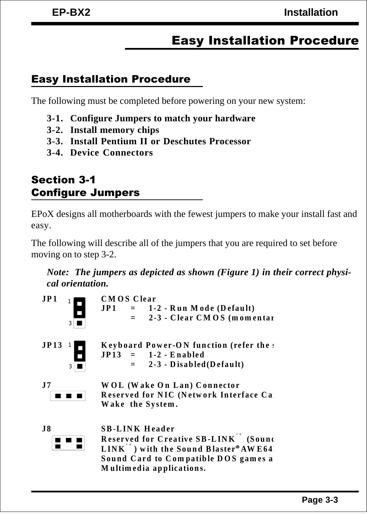# Easy Installation Procedure

#### Easy Installation Procedure

The following must be completed before powering on your new system:

- **3-1. Configure Jumpers to match your hardware**
- **3-2. Install memory chips**
- **3-3. Install Pentium II or Deschutes Processor**
- **3-4. Device Connectors**

# Section 3-1 Configure Jumpers

EPoX designs all motherboards with the fewest jumpers to make your install fast and easy.

The following will describe all of the jumpers that you are required to set before moving on to step 3-2.

*Note: The jumpers as depicted as shown (Figure 1) in their correct physical orientation.*

| JPI<br>$\overline{\phantom{0}}$<br>3 | <b>CMOS</b> Clear<br>$JPI = 1-2 - Run Mode (Default)$<br>$= 2-3$ - Clear CMOS (momentar                                                                                                     |
|--------------------------------------|---------------------------------------------------------------------------------------------------------------------------------------------------------------------------------------------|
| JP13                                 | Keyboard Power-ON function (refer the s<br>$JP13 = 1-2$ - Enabled<br>$= 2-3$ - Disabled (Default)                                                                                           |
| J7                                   | WOL (Wake On Lan) Connector<br>Reserved for NIC (Network Interface Cal<br>Wake the System.                                                                                                  |
| $\overline{\bf 18}$                  | <b>SB-LINK Header</b><br>Reserved for Creative SB-LINK" (Sound<br>$LINK^{\prime\prime}$ ) with the Sound Blaster®AWE64.<br>Sound Card to Compatible DOS games a<br>Multimedia applications. |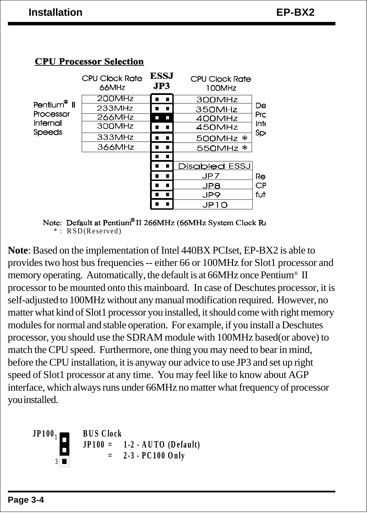|                                  | <b>CPU Clock Rate</b><br>66MHz | ESSJ<br>JP3    | CPU Clock Rate<br>100MHz |                           |
|----------------------------------|--------------------------------|----------------|--------------------------|---------------------------|
| Pentium <sup>®</sup> II          | 200MHz                         |                | 300MHz                   |                           |
|                                  | $233$ MHz                      |                | 350MHz                   | De                        |
| Processor                        | 266MHz                         | п<br>П         | 400MHz                   | Prc                       |
| <b>Internal</b><br><b>Speeds</b> | 300MHz                         | $\blacksquare$ | 450MHz                   | Inte                      |
|                                  | 333MHz                         |                | 500MHz *                 | Sp.                       |
|                                  | 366MHz                         |                | 550MHz *                 |                           |
|                                  |                                |                |                          |                           |
|                                  |                                |                | <b>Disabled ESSJ</b>     |                           |
|                                  |                                |                | JP7                      | Re                        |
|                                  |                                |                | <b>JP8</b>               | $\mathsf{C}^{\mathsf{p}}$ |
|                                  |                                |                | JP9                      | fut                       |
|                                  |                                |                | JP10                     |                           |

#### **CPU Processor Selection**

# Note: Default at Pentium® II 266MHz (66MHz System Clock Ri

\* : RSD(Reserved)

**Note**: Based on the implementation of Intel 440BX PCIset, EP-BX2 is able to provides two host bus frequencies -- either 66 or 100MHz for Slot1 processor and memory operating. Automatically, the default is at 66MHz once Pentium® II processor to be mounted onto this mainboard. In case of Deschutes processor, it is self-adjusted to 100MHz without any manual modification required. However, no matter what kind of Slot1 processor you installed, it should come with right memory modules for normal and stable operation. For example, if you install a Deschutes processor, you should use the SDRAM module with 100MHz based(or above) to match the CPU speed. Furthermore, one thing you may need to bear in mind, before the CPU installation, it is anyway our advice to use JP3 and set up right speed of Slot1 processor at any time. You may feel like to know about AGP interface, which always runs under 66MHz no matter what frequency of processor you installed.

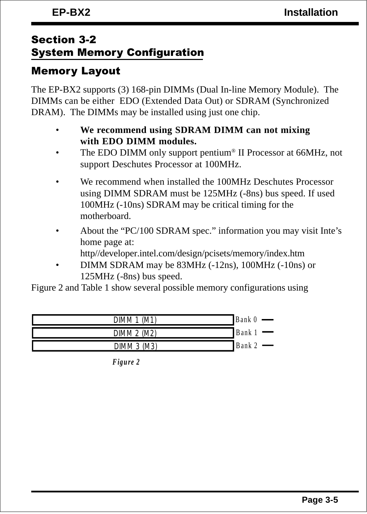# Section 3-2 System Memory Configuration

#### Memory Layout

The EP-BX2 supports (3) 168-pin DIMMs (Dual In-line Memory Module). The DIMMs can be either EDO (Extended Data Out) or SDRAM (Synchronized DRAM). The DIMMs may be installed using just one chip.

- **We recommend using SDRAM DIMM can not mixing with EDO DIMM modules.**
- The EDO DIMM only support pentium® II Processor at 66MHz, not support Deschutes Processor at 100MHz.
- We recommend when installed the 100MHz Deschutes Processor using DIMM SDRAM must be 125MHz (-8ns) bus speed. If used 100MHz (-10ns) SDRAM may be critical timing for the motherboard.
- About the "PC/100 SDRAM spec." information you may visit Inte's home page at:

http//developer.intel.com/design/pcisets/memory/index.htm

• DIMM SDRAM may be 83MHz (-12ns), 100MHz (-10ns) or 125MHz (-8ns) bus speed.

Figure 2 and Table 1 show several possible memory configurations using

| (M1)<br>DIMM              | Bank 0           |
|---------------------------|------------------|
| (M2)<br>DIMM              | Bank             |
| (M3)<br>DIMM <sub>3</sub> | Bank 2<br>$\sim$ |

*Figure 2*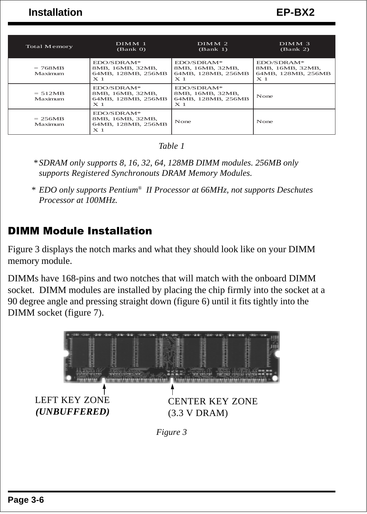| Total Memory         | $DIMM$ 1<br>(Bank 0)                                                 | $DIMM$ 2<br>(Bank 1)                                                     | $DIMM$ 3<br>(Bank 2)                                                 |
|----------------------|----------------------------------------------------------------------|--------------------------------------------------------------------------|----------------------------------------------------------------------|
| $= 768MB$<br>Maximum | $EDO/SDRAM*$<br>8MB, 16MB, 32MB.<br>64MB, 128MB, 256MB<br>$\times 1$ | $EDO/SDRAM*$<br>8MB, 16MB, 32MB.<br>64MB, 128MB, 256MB<br>$\times 1$     | $EDO/SDRAM*$<br>8MB, 16MB, 32MB.<br>64MB, 128MB, 256MB<br>$\times 1$ |
| $= 512MB$<br>Maximum | $EDO/SDRAM*$<br>8MB, 16MB, 32MB.<br>64MB, 128MB, 256MB<br>$\times 1$ | $EDO/SDRAM*$<br>8MB, 16MB, 32MB.<br>64MB, 128MB, 256MB<br>X <sub>1</sub> | None                                                                 |
| $= 256MB$<br>Maximum | $EDO/SDRAM*$<br>8MB, 16MB, 32MB.<br>64MB, 128MB, 256MB<br>$\times$ 1 | None                                                                     | None                                                                 |

*Table 1*

 *\* SDRAM only supports 8, 16, 32, 64, 128MB DIMM modules. 256MB only supports Registered Synchronouts DRAM Memory Modules.*

### DIMM Module Installation

Figure 3 displays the notch marks and what they should look like on your DIMM memory module.

DIMMs have 168-pins and two notches that will match with the onboard DIMM socket. DIMM modules are installed by placing the chip firmly into the socket at a 90 degree angle and pressing straight down (figure 6) until it fits tightly into the DIMM socket (figure 7).





*<sup>\*</sup> EDO only supports Pentium® II Processor at 66MHz, not supports Deschutes Processor at 100MHz.*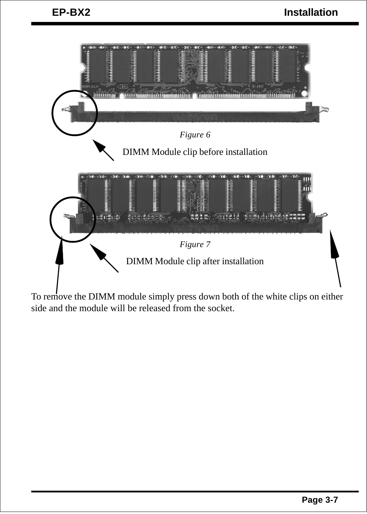

To remove the DIMM module simply press down both of the white clips on either side and the module will be released from the socket.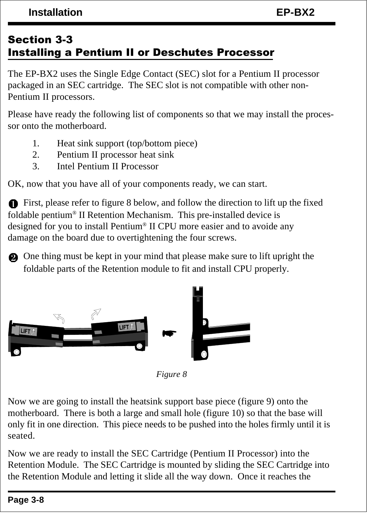# Section 3-3 Installing a Pentium II or Deschutes Processor

The EP-BX2 uses the Single Edge Contact (SEC) slot for a Pentium II processor packaged in an SEC cartridge. The SEC slot is not compatible with other non-Pentium II processors.

Please have ready the following list of components so that we may install the processor onto the motherboard.

- 1. Heat sink support (top/bottom piece)
- 2. Pentium II processor heat sink
- 3. Intel Pentium II Processor

OK, now that you have all of your components ready, we can start.

First, please refer to figure 8 below, and follow the direction to lift up the fixed foldable pentium® II Retention Mechanism. This pre-installed device is designed for you to install Pentium® II CPU more easier and to avoide any damage on the board due to overtightening the four screws.

One thing must be kept in your mind that please make sure to lift upright the foldable parts of the Retention module to fit and install CPU properly.





Now we are going to install the heatsink support base piece (figure 9) onto the motherboard. There is both a large and small hole (figure 10) so that the base will only fit in one direction. This piece needs to be pushed into the holes firmly until it is seated.

Now we are ready to install the SEC Cartridge (Pentium II Processor) into the Retention Module. The SEC Cartridge is mounted by sliding the SEC Cartridge into the Retention Module and letting it slide all the way down. Once it reaches the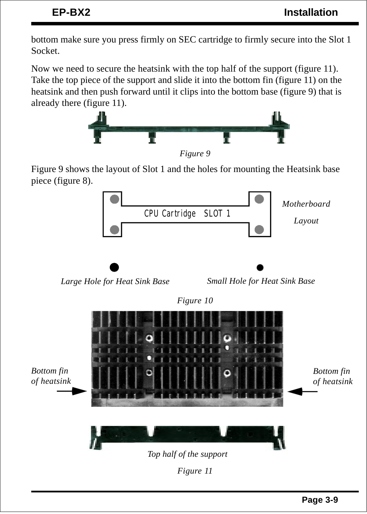bottom make sure you press firmly on SEC cartridge to firmly secure into the Slot 1 Socket.

Now we need to secure the heatsink with the top half of the support (figure 11). Take the top piece of the support and slide it into the bottom fin (figure 11) on the heatsink and then push forward until it clips into the bottom base (figure 9) that is already there (figure 11).



*Figure 9*

Figure 9 shows the layout of Slot 1 and the holes for mounting the Heatsink base piece (figure 8).

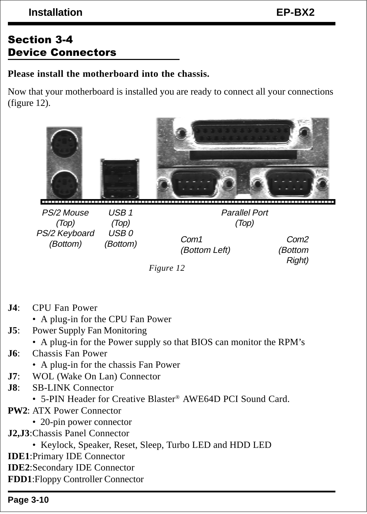Right)

# Section 3-4 Device Connectors

#### **Please install the motherboard into the chassis.**

Now that your motherboard is installed you are ready to connect all your connections (figure 12).



*Figure 12*

- **J4**: CPU Fan Power
	- A plug-in for the CPU Fan Power
- **J5**: Power Supply Fan Monitoring
	- A plug-in for the Power supply so that BIOS can monitor the RPM's
- **J6**: Chassis Fan Power
	- A plug-in for the chassis Fan Power
- **J7**: WOL (Wake On Lan) Connector
- **J8**: SB-LINK Connector
	- 5-PIN Header for Creative Blaster<sup>®</sup> AWE64D PCI Sound Card.
- **PW2**: ATX Power Connector
	- 20-pin power connector
- **J2,J3**:Chassis Panel Connector
	- Keylock, Speaker, Reset, Sleep, Turbo LED and HDD LED
- **IDE1**:Primary IDE Connector
- **IDE2**:Secondary IDE Connector
- **FDD1**:Floppy Controller Connector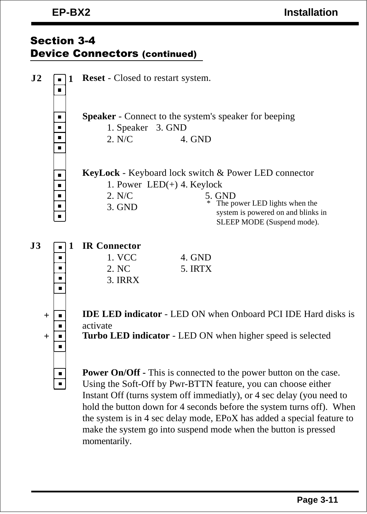**+**

**+**

 $\blacksquare$  $\blacksquare$  $\blacksquare$  $\blacksquare$ 

 $\blacksquare$  $\blacksquare$ 

# Section 3-4 Device Connectors (continued)



**IDE LED indicator** - LED ON when Onboard PCI IDE Hard disks is activate

**Turbo LED indicator** - LED ON when higher speed is selected

**Power On/Off - This is connected to the power button on the case.** Using the Soft-Off by Pwr-BTTN feature, you can choose either Instant Off (turns system off immediatly), or 4 sec delay (you need to hold the button down for 4 seconds before the system turns off). When the system is in 4 sec delay mode, EPoX has added a special feature to make the system go into suspend mode when the button is pressed momentarily.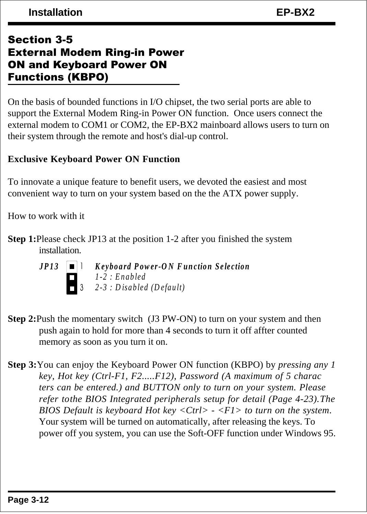#### Section 3-5 External Modem Ring-in Power ON and Keyboard Power ON Functions (KBPO)

On the basis of bounded functions in I/O chipset, the two serial ports are able to support the External Modem Ring-in Power ON function. Once users connect the external modem to COM1 or COM2, the EP-BX2 mainboard allows users to turn on their system through the remote and host's dial-up control.

#### **Exclusive Keyboard Power ON Function**

To innovate a unique feature to benefit users, we devoted the easiest and most convenient way to turn on your system based on the the ATX power supply.

How to work with it

**Step 1:**Please check JP13 at the position 1-2 after you finished the system installation.



*JP13 K eyboard P ower-O N F unction Selection 1-2 : Enabled 2-3 : D isabled (D efault)*

- **Step 2:**Push the momentary switch (J3 PW-ON) to turn on your system and then push again to hold for more than 4 seconds to turn it off affter counted memory as soon as you turn it on.
- **Step 3:**You can enjoy the Keyboard Power ON function (KBPO) by *pressing any 1 key, Hot key (Ctrl-F1, F2.....F12), Password (A maximum of 5 charac ters can be entered.) and BUTTON only to turn on your system. Please refer tothe BIOS Integrated peripherals setup for detail (Page 4-23).The BIOS Default is keyboard Hot key <Ctrl> - <F1> to turn on the system*. Your system will be turned on automatically, after releasing the keys. To power off you system, you can use the Soft-OFF function under Windows 95.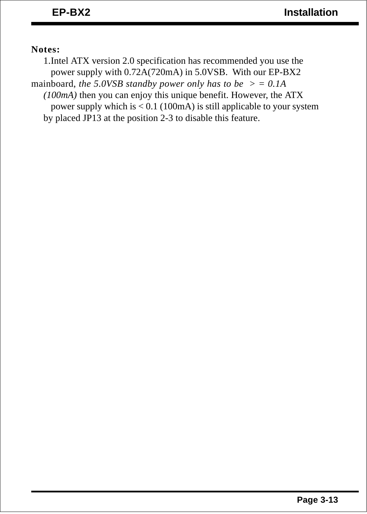#### **Notes:**

1.Intel ATX version 2.0 specification has recommended you use the power supply with 0.72A(720mA) in 5.0VSB. With our EP-BX2 mainboard, the 5.0VSB standby power only has to be  $> = 0.1A$ *(100mA)* then you can enjoy this unique benefit. However, the ATX power supply which is  $< 0.1$  (100mA) is still applicable to your system

by placed JP13 at the position 2-3 to disable this feature.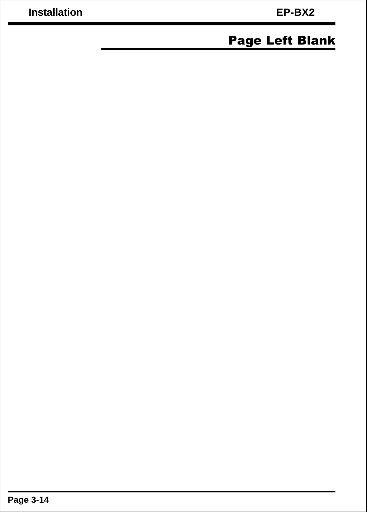# Page Left Blank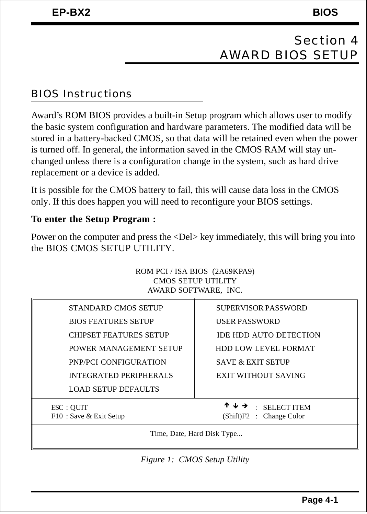# Section 4 AWARD BIOS SETUP

# BIOS Instructions

Award's ROM BIOS provides a built-in Setup program which allows user to modify the basic system configuration and hardware parameters. The modified data will be stored in a battery-backed CMOS, so that data will be retained even when the power is turned off. In general, the information saved in the CMOS RAM will stay unchanged unless there is a configuration change in the system, such as hard drive replacement or a device is added.

It is possible for the CMOS battery to fail, this will cause data loss in the CMOS only. If this does happen you will need to reconfigure your BIOS settings.

#### **To enter the Setup Program :**

Power on the computer and press the <Del> key immediately, this will bring you into the BIOS CMOS SETUP UTILITY.

ROM PCI / ISA BIOS (2A69KPA9)

|                                                       | $101111$ $101111100$<br><b>CMOS SETUP UTILITY</b><br>AWARD SOFTWARE, INC. |  |  |  |  |
|-------------------------------------------------------|---------------------------------------------------------------------------|--|--|--|--|
| STANDARD CMOS SETUP                                   | SUPERVISOR PASSWORD                                                       |  |  |  |  |
| <b>BIOS FEATURES SETUP</b>                            | <b>USER PASSWORD</b>                                                      |  |  |  |  |
| <b>CHIPSET FEATURES SETUP</b>                         | <b>IDE HDD AUTO DETECTION</b>                                             |  |  |  |  |
| POWER MANAGEMENT SETUP                                | <b>HDD LOW LEVEL FORMAT</b>                                               |  |  |  |  |
| PNP/PCI CONFIGURATION                                 | <b>SAVE &amp; EXIT SETUP</b>                                              |  |  |  |  |
| INTEGRATED PERIPHERALS                                | EXIT WITHOUT SAVING                                                       |  |  |  |  |
| <b>LOAD SETUP DEFAULTS</b>                            |                                                                           |  |  |  |  |
| ESC : OUIT                                            | $\uparrow \downarrow \uparrow$ : SELECT ITEM                              |  |  |  |  |
| F10 : Save & Exit Setup<br>$(Shift)F2$ : Change Color |                                                                           |  |  |  |  |
|                                                       | Time, Date, Hard Disk Type                                                |  |  |  |  |
|                                                       |                                                                           |  |  |  |  |

*Figure 1: CMOS Setup Utility*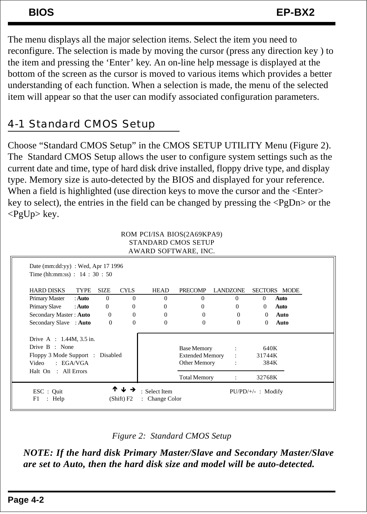The menu displays all the major selection items. Select the item you need to reconfigure. The selection is made by moving the cursor (press any direction key ) to the item and pressing the 'Enter' key. An on-line help message is displayed at the bottom of the screen as the cursor is moved to various items which provides a better understanding of each function. When a selection is made, the menu of the selected item will appear so that the user can modify associated configuration parameters.

# 4-1 Standard CMOS Setup

Choose "Standard CMOS Setup" in the CMOS SETUP UTILITY Menu (Figure 2). The Standard CMOS Setup allows the user to configure system settings such as the current date and time, type of hard disk drive installed, floppy drive type, and display type. Memory size is auto-detected by the BIOS and displayed for your reference. When a field is highlighted (use direction keys to move the cursor and the  $\leq$ Enter $>$ key to select), the entries in the field can be changed by pressing the <PgDn> or the  $<$ PgUp $>$  key.

| ROM PCI/ISA BIOS(2A69KPA9) |
|----------------------------|
| STANDARD CMOS SETUP        |
| AWARD SOFTWARE, INC.       |

| <b>HARD DISKS</b>                                                                                                                        | <b>TYPE</b> | <b>SIZE</b> | <b>CYLS</b> | <b>HEAD</b> | <b>PRECOMP</b>                                                                      | <b>LANDZONE</b> |                                  | SECTORS MODE |
|------------------------------------------------------------------------------------------------------------------------------------------|-------------|-------------|-------------|-------------|-------------------------------------------------------------------------------------|-----------------|----------------------------------|--------------|
| Primary Master                                                                                                                           | : Auto      | $\Omega$    | $\Omega$    | $\Omega$    | $\Omega$                                                                            | $\Omega$        | $\Omega$                         | Auto         |
| Primary Slave                                                                                                                            | : Auto      | $\Omega$    | $\Omega$    | $\Omega$    | $\Omega$                                                                            | $\Omega$        | $\Omega$                         | Auto         |
| Secondary Master: Auto                                                                                                                   |             | $\Omega$    | $\Omega$    | $\Omega$    | $\Omega$                                                                            | $\Omega$        | $\Omega$                         | Auto         |
| Secondary Slave : Auto                                                                                                                   |             | $\Omega$    | $\Omega$    | $\Omega$    | $\Omega$                                                                            | $\Omega$        | $\Omega$                         | Auto         |
| Drive $A : 1.44M, 3.5$ in.<br>Drive B: None<br>Floppy 3 Mode Support : Disabled<br>Video<br>$\therefore$ EGA/VGA<br>Halt On : All Errors |             |             |             |             | <b>Base Memory</b><br><b>Extended Memory</b><br>Other Memory<br><b>Total Memory</b> | $\ddot{\cdot}$  | 640K<br>31744K<br>384K<br>32768K |              |

*Figure 2: Standard CMOS Setup*

*NOTE: If the hard disk Primary Master/Slave and Secondary Master/Slave are set to Auto, then the hard disk size and model will be auto-detected.*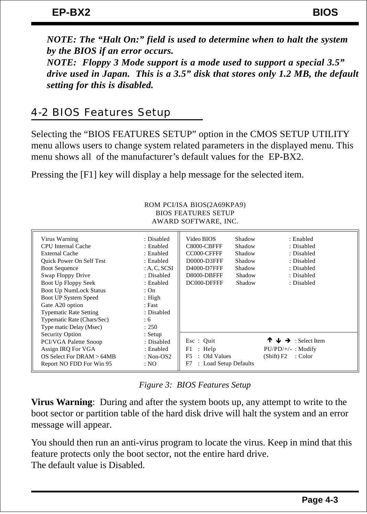*NOTE: The "Halt On:" field is used to determine when to halt the system by the BIOS if an error occurs.*

*NOTE: Floppy 3 Mode support is a mode used to support a special 3.5" drive used in Japan. This is a 3.5" disk that stores only 1.2 MB, the default setting for this is disabled.*

# 4-2 BIOS Features Setup

Selecting the "BIOS FEATURES SETUP" option in the CMOS SETUP UTILITY menu allows users to change system related parameters in the displayed menu. This menu shows all of the manufacturer's default values for the EP-BX2.

Pressing the [F1] key will display a help message for the selected item.

|                                                                                                                                                                                                                                                                                                                                    |                                                                                                                                                         | A WARD SOFT WARD, TIVE.                                                                              |                                                                    |                                                                                               |
|------------------------------------------------------------------------------------------------------------------------------------------------------------------------------------------------------------------------------------------------------------------------------------------------------------------------------------|---------------------------------------------------------------------------------------------------------------------------------------------------------|------------------------------------------------------------------------------------------------------|--------------------------------------------------------------------|-----------------------------------------------------------------------------------------------|
| Virus Warning<br>CPU Internal Cache<br>External Cache<br><b>Ouick Power On Self Test</b><br><b>Boot Sequence</b><br>Swap Floppy Drive<br>Boot Up Floppy Seek<br><b>Boot Up NumLock Status</b><br>Boot UP System Speed<br>Gate A20 option<br><b>Typematic Rate Setting</b><br>Typematic Rate (Chars/Sec)<br>Type matic Delay (Msec) | : Disabled<br>: Enabled<br>: Enabled<br>: Enabled<br>: A, C, SCSI<br>: Disabled<br>: Enabled<br>: On<br>$:$ High<br>: Fast<br>: Disabled<br>:6<br>: 250 | Video BIOS<br>C8000-CBFFF<br>CC000-CFFFF<br>D0000-D3FFF<br>D4000-D7FFF<br>D8000-DBFFF<br>DC000-DFFFF | Shadow<br>Shadow<br>Shadow<br>Shadow<br>Shadow<br>Shadow<br>Shadow | : Enabled<br>: Disabled<br>: Disabled<br>: Disabled<br>: Disabled<br>: Disabled<br>: Disabled |
| Security Option<br>PCI/VGA Palette Snoop<br>Assign IRO For VGA<br>$OS$ Select For DRAM $> 64MB$<br>Report NO FDD For Win 95                                                                                                                                                                                                        | $:$ Setup<br>: Disabled<br>: Enabled<br>: Non- $OS2$<br>: NO                                                                                            | Esc : Quit<br>F1.<br>: Help<br>: Old Values<br>F <sub>5</sub><br>F7<br>: Load Setup Defaults         |                                                                    | T.<br>$\rightarrow$ : Select Item<br>$PU/PD/+/-$ : Modify<br>(Shift) F2<br>: Color            |

#### ROM PCI/ISA BIOS(2A69KPA9) BIOS FEATURES SETUP AWARD SOFTWARE, INC.

*Figure 3: BIOS Features Setup*

**Virus Warning**:During and after the system boots up, any attempt to write to the boot sector or partition table of the hard disk drive will halt the system and an error message will appear.

You should then run an anti-virus program to locate the virus. Keep in mind that this feature protects only the boot sector, not the entire hard drive. The default value is Disabled.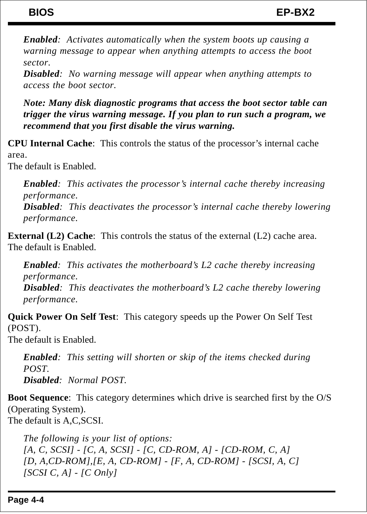*Enabled: Activates automatically when the system boots up causing a warning message to appear when anything attempts to access the boot sector.*

*Disabled: No warning message will appear when anything attempts to access the boot sector.*

*Note: Many disk diagnostic programs that access the boot sector table can trigger the virus warning message. If you plan to run such a program, we recommend that you first disable the virus warning.*

**CPU Internal Cache**: This controls the status of the processor's internal cache area.

The default is Enabled.

*Enabled: This activates the processor's internal cache thereby increasing performance. Disabled: This deactivates the processor's internal cache thereby lowering performance.*

**External (L2) Cache:** This controls the status of the external (L2) cache area. The default is Enabled.

*Enabled: This activates the motherboard's L2 cache thereby increasing performance. Disabled: This deactivates the motherboard's L2 cache thereby lowering performance.*

**Quick Power On Self Test**: This category speeds up the Power On Self Test (POST).

The default is Enabled.

*Enabled: This setting will shorten or skip of the items checked during POST. Disabled: Normal POST.*

**Boot Sequence**: This category determines which drive is searched first by the O/S (Operating System). The default is A,C,SCSI.

*The following is your list of options: [A, C, SCSI] - [C, A, SCSI] - [C, CD-ROM, A] - [CD-ROM, C, A] [D, A,CD-ROM],[E, A, CD-ROM] - [F, A, CD-ROM] - [SCSI, A, C] [SCSI C, A] - [C Only]*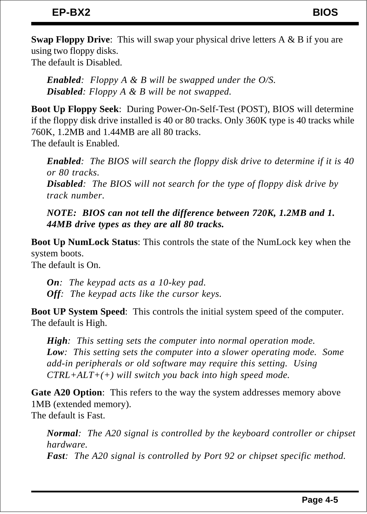**Swap Floppy Drive**: This will swap your physical drive letters A & B if you are using two floppy disks. The default is Disabled.

*Enabled: Floppy A & B will be swapped under the O/S. Disabled: Floppy A & B will be not swapped.*

**Boot Up Floppy Seek**: During Power-On-Self-Test (POST), BIOS will determine if the floppy disk drive installed is 40 or 80 tracks. Only 360K type is 40 tracks while 760K, 1.2MB and 1.44MB are all 80 tracks.

The default is Enabled.

*Enabled: The BIOS will search the floppy disk drive to determine if it is 40 or 80 tracks. Disabled: The BIOS will not search for the type of floppy disk drive by track number.*

*NOTE: BIOS can not tell the difference between 720K, 1.2MB and 1. 44MB drive types as they are all 80 tracks.*

**Boot Up NumLock Status**: This controls the state of the NumLock key when the system boots.

The default is On.

*On: The keypad acts as a 10-key pad. Off: The keypad acts like the cursor keys.*

**Boot UP System Speed**: This controls the initial system speed of the computer. The default is High.

*High: This setting sets the computer into normal operation mode. Low: This setting sets the computer into a slower operating mode. Some add-in peripherals or old software may require this setting. Using CTRL+ALT+(+) will switch you back into high speed mode.*

**Gate A20 Option**: This refers to the way the system addresses memory above 1MB (extended memory). The default is Fast.

*Normal: The A20 signal is controlled by the keyboard controller or chipset hardware. Fast: The A20 signal is controlled by Port 92 or chipset specific method.*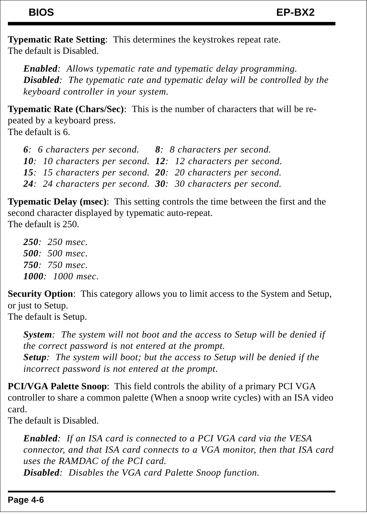**Typematic Rate Setting**: This determines the keystrokes repeat rate. The default is Disabled.

*Enabled: Allows typematic rate and typematic delay programming. Disabled: The typematic rate and typematic delay will be controlled by the keyboard controller in your system.*

**Typematic Rate (Chars/Sec)**: This is the number of characters that will be repeated by a keyboard press. The default is 6.

*: 6 characters per second. 8: 8 characters per second. : 10 characters per second. 12: 12 characters per second. : 15 characters per second. 20: 20 characters per second. : 24 characters per second. 30: 30 characters per second.*

**Typematic Delay (msec)**: This setting controls the time between the first and the second character displayed by typematic auto-repeat. The default is 250.

*: 250 msec. : 500 msec. : 750 msec. : 1000 msec.*

**Security Option**: This category allows you to limit access to the System and Setup, or just to Setup.

The default is Setup.

*System: The system will not boot and the access to Setup will be denied if the correct password is not entered at the prompt. Setup: The system will boot; but the access to Setup will be denied if the incorrect password is not entered at the prompt.*

**PCI/VGA Palette Snoop**: This field controls the ability of a primary PCI VGA controller to share a common palette (When a snoop write cycles) with an ISA video card.

The default is Disabled.

*Enabled: If an ISA card is connected to a PCI VGA card via the VESA connector, and that ISA card connects to a VGA monitor, then that ISA card uses the RAMDAC of the PCI card.*

*Disabled: Disables the VGA card Palette Snoop function.*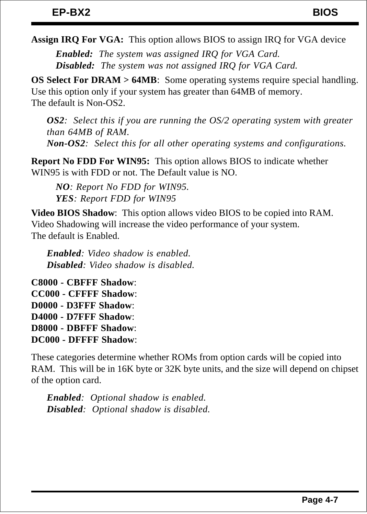**Assign IRQ For VGA:** This option allows BIOS to assign IRQ for VGA device

*Enabled: The system was assigned IRQ for VGA Card. Disabled: The system was not assigned IRQ for VGA Card.*

**OS Select For DRAM > 64MB**: Some operating systems require special handling. Use this option only if your system has greater than 64MB of memory. The default is Non-OS2.

*OS2: Select this if you are running the OS/2 operating system with greater than 64MB of RAM. Non-OS2: Select this for all other operating systems and configurations.*

**Report No FDD For WIN95:** This option allows BIOS to indicate whether WIN95 is with FDD or not. The Default value is NO.

*NO: Report No FDD for WIN95. YES: Report FDD for WIN95*

**Video BIOS Shadow**: This option allows video BIOS to be copied into RAM. Video Shadowing will increase the video performance of your system. The default is Enabled.

*Enabled: Video shadow is enabled. Disabled: Video shadow is disabled.*

**C8000 - CBFFF Shadow**: **CC000 - CFFFF Shadow**: **D0000 - D3FFF Shadow**: **D4000 - D7FFF Shadow**: **D8000 - DBFFF Shadow**: **DC000 - DFFFF Shadow**:

These categories determine whether ROMs from option cards will be copied into RAM. This will be in 16K byte or 32K byte units, and the size will depend on chipset of the option card.

*Enabled: Optional shadow is enabled. Disabled: Optional shadow is disabled.*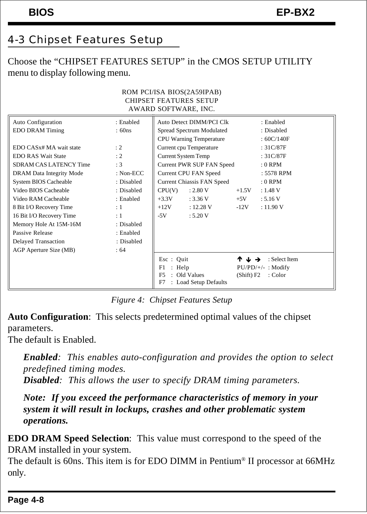# 4-3 Chipset Features Setup

Choose the "CHIPSET FEATURES SETUP" in the CMOS SETUP UTILITY menu to display following menu.

#### ROM PCI/ISA BIOS(2A59IPAB) CHIPSET FEATURES SETUP AWARD SOFTWARE, INC.

| Auto Configuration                   | : Enabled          |                                | Auto Detect DIMM/PCI Clk          |             | : Enabled            |
|--------------------------------------|--------------------|--------------------------------|-----------------------------------|-------------|----------------------|
| <b>EDO DRAM Timing</b>               | : 60 <sub>ns</sub> | Spread Spectrum Modulated      |                                   | : Disabled  |                      |
|                                      |                    | <b>CPU Warning Temperature</b> |                                   | :60C/140F   |                      |
| EDO CAS <sub>x</sub> # MA wait state | : 2                | Current cpu Temperature        |                                   | : $31C/87F$ |                      |
| <b>EDO RAS Wait State</b>            | : 2                | Current System Temp            |                                   | : $31C/87F$ |                      |
| <b>SDRAM CAS LATENCY Time</b>        | :3                 | Current PWR SUP FAN Speed      |                                   | $: 0$ RPM   |                      |
| DRAM Data Integrity Mode             | : $Non-ECC$        |                                | <b>Current CPU FAN Speed</b>      |             | : 5578 RPM           |
| System BIOS Cacheable                | : Disabled         |                                | <b>Current Chiassis FAN Speed</b> |             | $: 0$ RPM            |
| Video BIOS Cacheable                 | : Disabled         | CPU(V)                         | : 2.80 V                          | $+1.5V$     | : 1.48 V             |
| Video RAM Cacheable                  | : Enabled          | $+3.3V$                        | : 3.36 V                          | $+5V$       | : 5.16 V             |
| 8 Bit I/O Recovery Time              | :1                 | $+12V$                         | : 12.28 V                         | $-12V$      | : 11.90 V            |
| 16 Bit I/O Recovery Time             | $\colon$ 1         | $-5V$                          | : 5.20 V                          |             |                      |
| Memory Hole At 15M-16M               | : Disabled         |                                |                                   |             |                      |
| Passive Release                      | : Enabled          |                                |                                   |             |                      |
| Delayed Transaction                  | : Disabled         |                                |                                   |             |                      |
| AGP Aperture Size (MB)               | :64                |                                |                                   |             |                      |
|                                      |                    | Esc: Ouit                      |                                   | T.<br>ﯩ     | : Select Item<br>→   |
|                                      |                    | : Help<br>F1                   |                                   |             | $PU/PD/+/-$ : Modify |
|                                      |                    | F5                             | : Old Values                      | (Shift) F2  | : Color              |
|                                      |                    | F7                             | : Load Setup Defaults             |             |                      |

*Figure 4: Chipset Features Setup*

**Auto Configuration**: This selects predetermined optimal values of the chipset parameters.

The default is Enabled.

*Enabled: This enables auto-configuration and provides the option to select predefined timing modes.*

*Disabled: This allows the user to specify DRAM timing parameters.*

*Note: If you exceed the performance characteristics of memory in your system it will result in lockups, crashes and other problematic system operations.*

**EDO DRAM Speed Selection**: This value must correspond to the speed of the DRAM installed in your system.

The default is 60ns. This item is for EDO DIMM in Pentium® II processor at 66MHz only.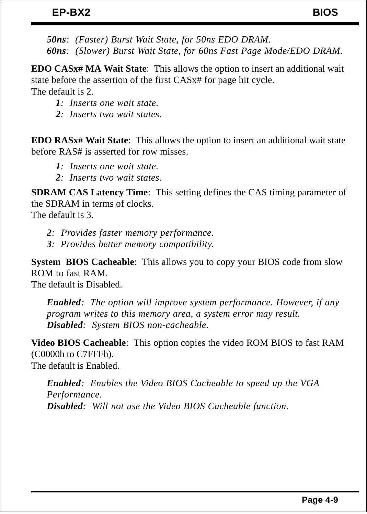**EDO CASx# MA Wait State**: This allows the option to insert an additional wait state before the assertion of the first CASx# for page hit cycle. The default is 2.

*1: Inserts one wait state.*

*2: Inserts two wait states.*

**EDO RASx# Wait State**: This allows the option to insert an additional wait state before RAS# is asserted for row misses.

- *1: Inserts one wait state.*
- *2: Inserts two wait states.*

**SDRAM CAS Latency Time**: This setting defines the CAS timing parameter of the SDRAM in terms of clocks.

The default is 3.

- *2: Provides faster memory performance.*
- *3: Provides better memory compatibility.*

**System BIOS Cacheable**: This allows you to copy your BIOS code from slow ROM to fast RAM.

The default is Disabled.

*Enabled: The option will improve system performance. However, if any program writes to this memory area, a system error may result. Disabled: System BIOS non-cacheable.*

**Video BIOS Cacheable**: This option copies the video ROM BIOS to fast RAM (C0000h to C7FFFh). The default is Enabled.

*Enabled: Enables the Video BIOS Cacheable to speed up the VGA Performance. Disabled: Will not use the Video BIOS Cacheable function.*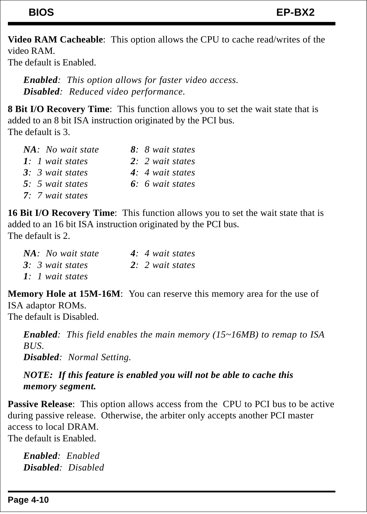**Video RAM Cacheable**: This option allows the CPU to cache read/writes of the video RAM.

The default is Enabled.

*Enabled: This option allows for faster video access. Disabled: Reduced video performance.*

**8 Bit I/O Recovery Time**: This function allows you to set the wait state that is added to an 8 bit ISA instruction originated by the PCI bus. The default is 3.

| NA: No wait state | 8: 8 wait states |
|-------------------|------------------|
| 1: I wait states  | 2: 2 wait states |
| 3: 3 wait states  | 4: 4 wait states |
| 5: 5 wait states  | 6: 6 wait states |
| 7: 7 wait states  |                  |

**16 Bit I/O Recovery Time**: This function allows you to set the wait state that is added to an 16 bit ISA instruction originated by the PCI bus. The default is 2.

| NA: No wait state | 4: 4 wait states  |
|-------------------|-------------------|
| 3: 3 wait states  | $2:2$ wait states |
| 1: I wait states  |                   |

**Memory Hole at 15M-16M**: You can reserve this memory area for the use of ISA adaptor ROMs.

The default is Disabled.

*Enabled: This field enables the main memory (15~16MB) to remap to ISA BUS. Disabled: Normal Setting.*

*NOTE: If this feature is enabled you will not be able to cache this memory segment.*

**Passive Release**: This option allows access from the CPU to PCI bus to be active during passive release. Otherwise, the arbiter only accepts another PCI master access to local DRAM. The default is Enabled.

*Enabled: Enabled Disabled: Disabled*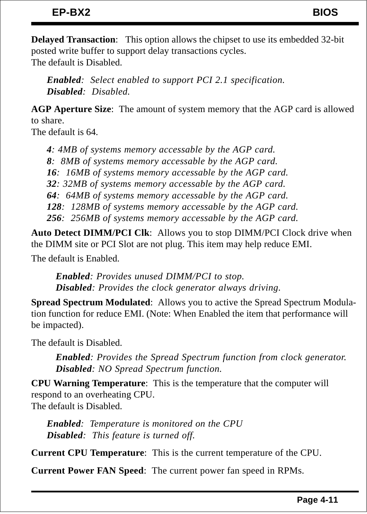**Delayed Transaction:** This option allows the chipset to use its embedded 32-bit posted write buffer to support delay transactions cycles. The default is Disabled.

*Enabled: Select enabled to support PCI 2.1 specification. Disabled: Disabled.*

**AGP Aperture Size**: The amount of system memory that the AGP card is allowed to share.

The default is 64.

*: 4MB of systems memory accessable by the AGP card. : 8MB of systems memory accessable by the AGP card. : 16MB of systems memory accessable by the AGP card. : 32MB of systems memory accessable by the AGP card. : 64MB of systems memory accessable by the AGP card. : 128MB of systems memory accessable by the AGP card. : 256MB of systems memory accessable by the AGP card.*

**Auto Detect DIMM/PCI Clk**: Allows you to stop DIMM/PCI Clock drive when the DIMM site or PCI Slot are not plug. This item may help reduce EMI. The default is Enabled.

*Enabled: Provides unused DIMM/PCI to stop. Disabled: Provides the clock generator always driving.*

**Spread Spectrum Modulated**: Allows you to active the Spread Spectrum Modulation function for reduce EMI. (Note: When Enabled the item that performance will be impacted).

The default is Disabled.

*Enabled: Provides the Spread Spectrum function from clock generator. Disabled: NO Spread Spectrum function.*

**CPU Warning Temperature**: This is the temperature that the computer will respond to an overheating CPU. The default is Disabled.

*Enabled: Temperature is monitored on the CPU Disabled: This feature is turned off.*

**Current CPU Temperature**: This is the current temperature of the CPU.

**Current Power FAN Speed**: The current power fan speed in RPMs.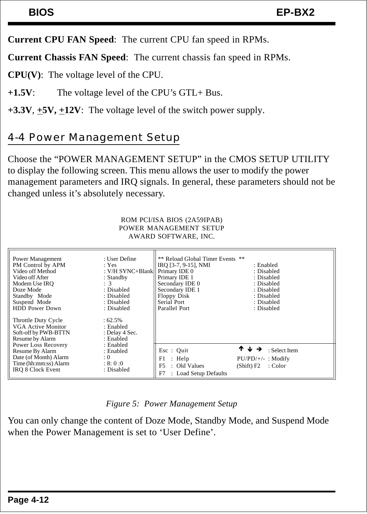**Current CPU FAN Speed**: The current CPU fan speed in RPMs.

**Current Chassis FAN Speed**: The current chassis fan speed in RPMs.

**CPU(V)**: The voltage level of the CPU.

**+1.5V**: The voltage level of the CPU's GTL+ Bus.

**+3.3V**, **+5V, +12V**: The voltage level of the switch power supply.

# 4-4 Power Management Setup

Choose the "POWER MANAGEMENT SETUP" in the CMOS SETUP UTILITY to display the following screen. This menu allows the user to modify the power management parameters and IRQ signals. In general, these parameters should not be changed unless it's absolutely necessary.

#### ROM PCI/ISA BIOS (2A59IPAB) POWER MANAGEMENT SETUP AWARD SOFTWARE, INC.

| <b>Power Management</b><br>PM Control by APM<br>Video off Method<br>Video off After<br>Modem Use IRO<br>Doze Mode<br>Standby Mode<br>Suspend Mode<br>HDD Power Down                                          | : User Define<br>: Yes<br>: V/H SYNC+Blank<br>: Standby<br>:3<br>: Disabled<br>: Disabled<br>: Disabled<br>: Disabled | ** Reload Global Timer Events **<br>IRO [3-7, 9-15], NMI<br>Primary IDE 0<br>Primary IDE 1<br>Secondary IDE 0<br>Secondary IDE 1<br>Floppy Disk<br>Serial Port<br>Parallel Port | : Enabled<br>: Disabled<br>: Disabled<br>: Disabled<br>: Disabled<br>: Disabled<br>: Disabled<br>: Disabled |
|--------------------------------------------------------------------------------------------------------------------------------------------------------------------------------------------------------------|-----------------------------------------------------------------------------------------------------------------------|---------------------------------------------------------------------------------------------------------------------------------------------------------------------------------|-------------------------------------------------------------------------------------------------------------|
| Throttle Duty Cycle<br>VGA Active Monitor<br>Soft-off by PWB-BTTN<br>Resume by Alarm<br>Power Loss Recovery<br>Resume By Alarm<br>Date (of Month) Alarm<br>Time (hh:mm:ss) Alarm<br><b>IRO 8 Clock Event</b> | $:62.5\%$<br>: Enabled<br>: Delay 4 Sec.<br>: Enabled<br>: Enabled<br>: Enabled<br>: 0<br>: 8:0:0<br>: Disabled       | Esc: Ouit<br>$\therefore$ Help<br>F1<br>: Old Values<br>F <sub>5</sub><br>F7<br>: Load Setup Defaults                                                                           | ↑↓→<br>: Select Item<br>$PU/PD/+/-$ : Modify<br>(Shift) F2<br>: Color                                       |

#### *Figure 5: Power Management Setup*

You can only change the content of Doze Mode, Standby Mode, and Suspend Mode when the Power Management is set to 'User Define'.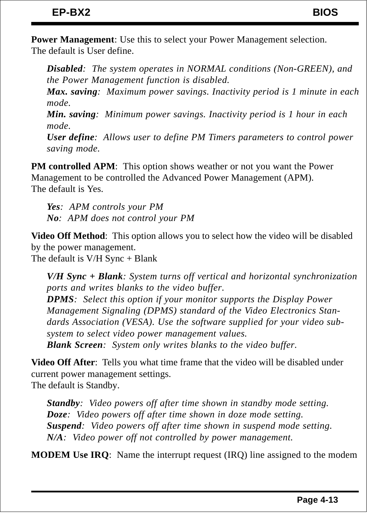**Power Management**: Use this to select your Power Management selection. The default is User define.

*Disabled: The system operates in NORMAL conditions (Non-GREEN), and the Power Management function is disabled. Max. saving: Maximum power savings. Inactivity period is 1 minute in each mode. Min. saving: Minimum power savings. Inactivity period is 1 hour in each mode.*

*User define: Allows user to define PM Timers parameters to control power saving mode.*

**PM controlled APM**: This option shows weather or not you want the Power Management to be controlled the Advanced Power Management (APM). The default is Yes.

*Yes: APM controls your PM No: APM does not control your PM*

**Video Off Method**: This option allows you to select how the video will be disabled by the power management. The default is  $V/H$  Sync + Blank

*V/H Sync + Blank: System turns off vertical and horizontal synchronization ports and writes blanks to the video buffer. DPMS: Select this option if your monitor supports the Display Power Management Signaling (DPMS) standard of the Video Electronics Standards Association (VESA). Use the software supplied for your video subsystem to select video power management values. Blank Screen: System only writes blanks to the video buffer.*

**Video Off After**: Tells you what time frame that the video will be disabled under current power management settings.

The default is Standby.

*Standby: Video powers off after time shown in standby mode setting. Doze: Video powers off after time shown in doze mode setting. Suspend: Video powers off after time shown in suspend mode setting. N/A: Video power off not controlled by power management.*

**MODEM Use IRQ**: Name the interrupt request (IRQ) line assigned to the modem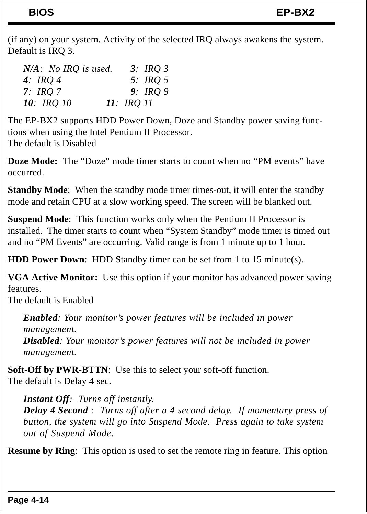(if any) on your system. Activity of the selected IRQ always awakens the system. Default is IRO 3.

| $N/A$ : No IRQ is used. | 3: IRO.3     |
|-------------------------|--------------|
| 4: IRQ 4                | 5: $IRQ$ 5   |
| 7: IRQ 7                | 9: IRO.9     |
| 10: $IRQ$ 10            | $11:$ IRQ 11 |

The EP-BX2 supports HDD Power Down, Doze and Standby power saving functions when using the Intel Pentium II Processor. The default is Disabled

**Doze Mode:** The "Doze" mode timer starts to count when no "PM events" have occurred.

**Standby Mode**: When the standby mode timer times-out, it will enter the standby mode and retain CPU at a slow working speed. The screen will be blanked out.

**Suspend Mode**: This function works only when the Pentium II Processor is installed. The timer starts to count when "System Standby" mode timer is timed out and no "PM Events" are occurring. Valid range is from 1 minute up to 1 hour.

**HDD Power Down**: HDD Standby timer can be set from 1 to 15 minute(s).

**VGA Active Monitor:** Use this option if your monitor has advanced power saving features.

The default is Enabled

*Enabled: Your monitor's power features will be included in power management. Disabled: Your monitor's power features will not be included in power management.*

**Soft-Off by PWR-BTTN**: Use this to select your soft-off function. The default is Delay 4 sec.

*Instant Off: Turns off instantly. Delay 4 Second : Turns off after a 4 second delay. If momentary press of button, the system will go into Suspend Mode. Press again to take system out of Suspend Mode.*

**Resume by Ring**: This option is used to set the remote ring in feature. This option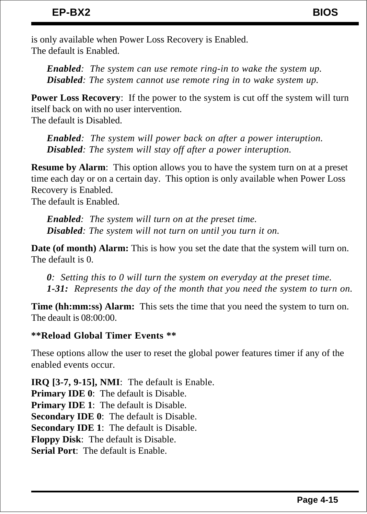is only available when Power Loss Recovery is Enabled. The default is Enabled.

*Enabled: The system can use remote ring-in to wake the system up. Disabled: The system cannot use remote ring in to wake system up.*

**Power Loss Recovery:** If the power to the system is cut off the system will turn itself back on with no user intervention. The default is Disabled.

*Enabled: The system will power back on after a power interuption. Disabled: The system will stay off after a power interuption.*

**Resume by Alarm:** This option allows you to have the system turn on at a preset time each day or on a certain day. This option is only available when Power Loss Recovery is Enabled.

The default is Enabled.

*Enabled: The system will turn on at the preset time. Disabled: The system will not turn on until you turn it on.*

**Date (of month) Alarm:** This is how you set the date that the system will turn on. The default is 0.

*0: Setting this to 0 will turn the system on everyday at the preset time. 1-31: Represents the day of the month that you need the system to turn on.*

**Time (hh:mm:ss) Alarm:** This sets the time that you need the system to turn on. The deault is 08:00:00.

#### **\*\*Reload Global Timer Events \*\***

These options allow the user to reset the global power features timer if any of the enabled events occur.

**IRQ [3-7, 9-15], NMI**: The default is Enable. **Primary IDE 0**: The default is Disable. **Primary IDE 1**: The default is Disable. **Secondary IDE 0**: The default is Disable. **Secondary IDE 1**: The default is Disable. **Floppy Disk**: The default is Disable. **Serial Port**: The default is Enable.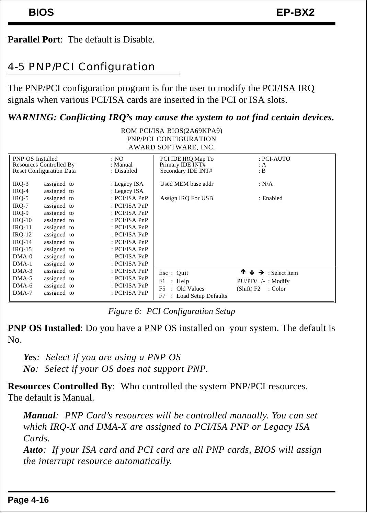#### **Parallel Port**: The default is Disable.

# 4-5 PNP/PCI Configuration

The PNP/PCI configuration program is for the user to modify the PCI/ISA IRQ signals when various PCI/ISA cards are inserted in the PCI or ISA slots.

#### *WARNING: Conflicting IRQ's may cause the system to not find certain devices.*

ROM PCI/ISA BIOS(2A69KPA9) PNP/PCI CONFIGURATION AWARD SOFTWARE, INC.

| PNP OS Installed                                                                                                                      | Resources Controlled By<br><b>Reset Configuration Data</b>                                                                                                                       | :NO<br>: Manual<br>: Disabled                                                                                                                                                                          | PCI IDE IRO Map To<br>Primary IDE INT#<br>Secondary IDE INT#                   | : PCI-AUTO<br>: A<br>: B                                                                         |
|---------------------------------------------------------------------------------------------------------------------------------------|----------------------------------------------------------------------------------------------------------------------------------------------------------------------------------|--------------------------------------------------------------------------------------------------------------------------------------------------------------------------------------------------------|--------------------------------------------------------------------------------|--------------------------------------------------------------------------------------------------|
| $IRQ-3$<br>$IRQ-4$<br>$IRO-5$<br>$IRO-7$<br>$IRQ-9$<br>$IRO-10$<br>$IRQ-11$<br>$IRO-12$<br>$IRO-14$<br>$IRO-15$<br>$DMA-0$<br>$DMA-1$ | assigned to<br>assigned to<br>assigned to<br>assigned to<br>assigned to<br>assigned to<br>assigned to<br>assigned to<br>assigned to<br>assigned to<br>assigned to<br>assigned to | : Legacy ISA<br>: Legacy ISA<br>: PCI/ISA PnP<br>: PCI/ISA PnP<br>: PCI/ISA PnP<br>: PCI/ISA PnP<br>: PCI/ISA PnP<br>: PCI/ISA PnP<br>: PCI/ISA PnP<br>: PCI/ISA PnP<br>: PCI/ISA PnP<br>: PCI/ISA PnP | Used MEM base addr<br>Assign IRO For USB                                       | : N/A<br>: Enabled                                                                               |
| $DMA-3$<br>$DMA-5$<br>$DMA-6$<br>$DMA-7$                                                                                              | assigned to<br>assigned to<br>assigned to<br>assigned to                                                                                                                         | : PCI/ISA PnP<br>: PCI/ISA PnP<br>: PCI/ISA PnP<br>: PCI/ISA PnP                                                                                                                                       | Esc: Ouit<br>: Help<br>F1<br>: Old Values<br>F5<br>F7<br>: Load Setup Defaults | $\uparrow \downarrow \rightarrow$ : Select Item<br>$PU/PD/+/-$ : Modify<br>(Shift) F2<br>: Color |

*Figure 6: PCI Configuration Setup*

**PNP OS Installed**: Do you have a PNP OS installed on your system. The default is No.

*Yes: Select if you are using a PNP OS*

*No: Select if your OS does not support PNP.*

**Resources Controlled By**: Who controlled the system PNP/PCI resources. The default is Manual.

*Manual: PNP Card's resources will be controlled manually. You can set which IRQ-X and DMA-X are assigned to PCI/ISA PNP or Legacy ISA Cards.*

*Auto: If your ISA card and PCI card are all PNP cards, BIOS will assign the interrupt resource automatically.*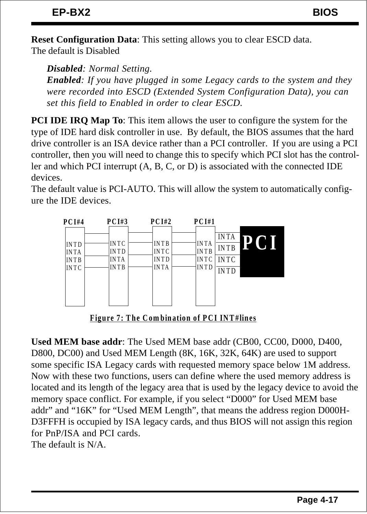**Reset Configuration Data**: This setting allows you to clear ESCD data. The default is Disabled

*Disabled: Normal Setting.*

*Enabled: If you have plugged in some Legacy cards to the system and they were recorded into ESCD (Extended System Configuration Data), you can set this field to Enabled in order to clear ESCD.*

**PCI IDE IRQ Map To:** This item allows the user to configure the system for the type of IDE hard disk controller in use. By default, the BIOS assumes that the hard drive controller is an ISA device rather than a PCI controller. If you are using a PCI controller, then you will need to change this to specify which PCI slot has the controller and which PCI interrupt (A, B, C, or D) is associated with the connected IDE devices.

The default value is PCI-AUTO. This will allow the system to automatically configure the IDE devices.



**Figure 7: The Com bination of PCI INT#lines**

**Used MEM base addr**: The Used MEM base addr (CB00, CC00, D000, D400, D800, DC00) and Used MEM Length (8K, 16K, 32K, 64K) are used to support some specific ISA Legacy cards with requested memory space below 1M address. Now with these two functions, users can define where the used memory address is located and its length of the legacy area that is used by the legacy device to avoid the memory space conflict. For example, if you select "D000" for Used MEM base addr" and "16K" for "Used MEM Length", that means the address region D000H-D3FFFH is occupied by ISA legacy cards, and thus BIOS will not assign this region for PnP/ISA and PCI cards. The default is N/A.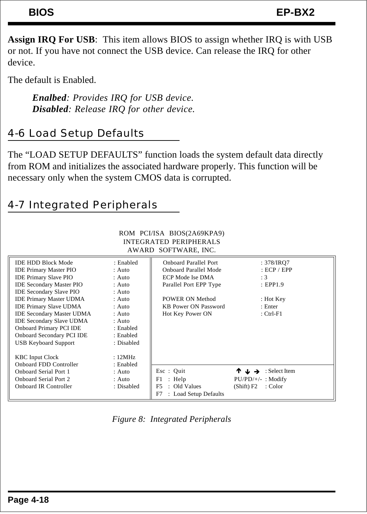**Assign IRQ For USB**: This item allows BIOS to assign whether IRQ is with USB or not. If you have not connect the USB device. Can release the IRQ for other device.

The default is Enabled.

*Enalbed: Provides IRQ for USB device. Disabled: Release IRQ for other device.*

# 4-6 Load Setup Defaults

The "LOAD SETUP DEFAULTS" function loads the system default data directly from ROM and initializes the associated hardware properly. This function will be necessary only when the system CMOS data is corrupted.

> ROM PCI/ISA BIOS(2A69KPA9) INTEGRATED PERIPHERALS

| AWARD SOFTWARE, INC.                                                                                                                                                                                                                                                                                                                                                                             |                                                                                                                                       |                                                                                                                                                                                         |                                                                                  |
|--------------------------------------------------------------------------------------------------------------------------------------------------------------------------------------------------------------------------------------------------------------------------------------------------------------------------------------------------------------------------------------------------|---------------------------------------------------------------------------------------------------------------------------------------|-----------------------------------------------------------------------------------------------------------------------------------------------------------------------------------------|----------------------------------------------------------------------------------|
| <b>IDE HDD Block Mode</b><br><b>IDE Primary Master PIO</b><br><b>IDE Primary Slave PIO</b><br><b>IDE Secondary Master PIO</b><br><b>IDE Secondary Slave PIO</b><br><b>IDE Primary Master UDMA</b><br><b>IDE Primary Slave UDMA</b><br><b>IDE Secondary Master UDMA</b><br><b>IDE Secondary Slave UDMA</b><br>Onboard Primary PCI IDE<br>Onboard Secondary PCI IDE<br><b>USB Keyboard Support</b> | : Enabled<br>: Auto<br>$:$ Auto<br>: Auto<br>$:$ Auto<br>: Auto<br>: Auto<br>: Auto<br>: Auto<br>: Enabled<br>: Enabled<br>: Disabled | <b>Onboard Parallel Port</b><br><b>Onboard Parallel Mode</b><br><b>ECP Mode Ise DMA</b><br>Parallel Port EPP Type<br>POWER ON Method<br><b>KB Power ON Password</b><br>Hot Key Power ON | : 378/IRO7<br>ECP / EPP<br>:3<br>EPP1.9<br>: Hot Key<br>$:$ Enter<br>: $Ctrl-F1$ |
| <b>KBC</b> Input Clock<br>Onboard FDD Controller                                                                                                                                                                                                                                                                                                                                                 | : 12MHz<br>: Enabled                                                                                                                  |                                                                                                                                                                                         |                                                                                  |
| <b>Onboard Serial Port 1</b>                                                                                                                                                                                                                                                                                                                                                                     | $:$ Auto                                                                                                                              | Esc: Ouit                                                                                                                                                                               | $\uparrow \downarrow \rightarrow$ : Select Item                                  |
| <b>Onboard Serial Port 2</b>                                                                                                                                                                                                                                                                                                                                                                     | : Auto                                                                                                                                | : Help<br>F1                                                                                                                                                                            | $PU/PD/+/-$ : Modify                                                             |
| <b>Onboard IR Controller</b>                                                                                                                                                                                                                                                                                                                                                                     | : Disabled                                                                                                                            | : Old Values<br>F <sub>5</sub>                                                                                                                                                          | (Shift) F2<br>: Color                                                            |
|                                                                                                                                                                                                                                                                                                                                                                                                  |                                                                                                                                       | F7<br>: Load Setup Defaults                                                                                                                                                             |                                                                                  |

#### 4-7 Integrated Peripherals

*Figure 8: Integrated Peripherals*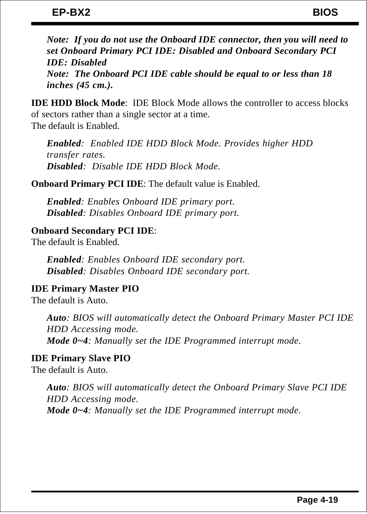*Note: If you do not use the Onboard IDE connector, then you will need to set Onboard Primary PCI IDE: Disabled and Onboard Secondary PCI IDE: Disabled Note: The Onboard PCI IDE cable should be equal to or less than 18 inches (45 cm.).*

**IDE HDD Block Mode**: IDE Block Mode allows the controller to access blocks of sectors rather than a single sector at a time. The default is Enabled.

*Enabled: Enabled IDE HDD Block Mode. Provides higher HDD transfer rates. Disabled: Disable IDE HDD Block Mode.*

**Onboard Primary PCI IDE**: The default value is Enabled.

*Enabled: Enables Onboard IDE primary port. Disabled: Disables Onboard IDE primary port.*

#### **Onboard Secondary PCI IDE**:

The default is Enabled.

*Enabled: Enables Onboard IDE secondary port. Disabled: Disables Onboard IDE secondary port.*

**IDE Primary Master PIO**

The default is Auto.

*Auto: BIOS will automatically detect the Onboard Primary Master PCI IDE HDD Accessing mode. Mode 0~4: Manually set the IDE Programmed interrupt mode.*

#### **IDE Primary Slave PIO**

The default is Auto.

*Auto: BIOS will automatically detect the Onboard Primary Slave PCI IDE HDD Accessing mode. Mode 0~4: Manually set the IDE Programmed interrupt mode.*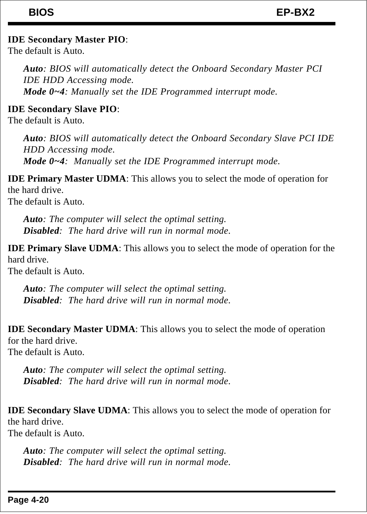#### **IDE Secondary Master PIO**:

The default is Auto.

*Auto: BIOS will automatically detect the Onboard Secondary Master PCI IDE HDD Accessing mode. Mode 0~4: Manually set the IDE Programmed interrupt mode.*

#### **IDE Secondary Slave PIO**:

The default is Auto.

*Auto: BIOS will automatically detect the Onboard Secondary Slave PCI IDE HDD Accessing mode. Mode 0~4: Manually set the IDE Programmed interrupt mode.*

**IDE Primary Master UDMA**: This allows you to select the mode of operation for the hard drive. The default is Auto.

*Auto: The computer will select the optimal setting. Disabled: The hard drive will run in normal mode.*

**IDE Primary Slave UDMA**: This allows you to select the mode of operation for the hard drive.

The default is Auto.

*Auto: The computer will select the optimal setting. Disabled: The hard drive will run in normal mode.*

**IDE Secondary Master UDMA**: This allows you to select the mode of operation for the hard drive. The default is Auto.

*Auto: The computer will select the optimal setting. Disabled: The hard drive will run in normal mode.*

**IDE Secondary Slave UDMA**: This allows you to select the mode of operation for the hard drive.

The default is Auto.

*Auto: The computer will select the optimal setting. Disabled: The hard drive will run in normal mode.*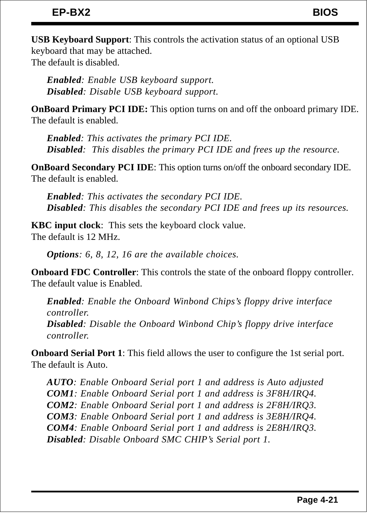**USB Keyboard Support**: This controls the activation status of an optional USB keyboard that may be attached.

The default is disabled.

*Enabled: Enable USB keyboard support. Disabled: Disable USB keyboard support.*

**OnBoard Primary PCI IDE:** This option turns on and off the onboard primary IDE. The default is enabled.

*Enabled: This activates the primary PCI IDE. Disabled: This disables the primary PCI IDE and frees up the resource.*

**OnBoard Secondary PCI IDE**: This option turns on/off the onboard secondary IDE. The default is enabled.

*Enabled: This activates the secondary PCI IDE. Disabled: This disables the secondary PCI IDE and frees up its resources.*

**KBC input clock**: This sets the keyboard clock value. The default is 12 MHz.

*Options: 6, 8, 12, 16 are the available choices.*

**Onboard FDC Controller:** This controls the state of the onboard floppy controller. The default value is Enabled.

*Enabled: Enable the Onboard Winbond Chips's floppy drive interface controller. Disabled: Disable the Onboard Winbond Chip's floppy drive interface controller.*

**Onboard Serial Port 1**: This field allows the user to configure the 1st serial port. The default is Auto.

*AUTO: Enable Onboard Serial port 1 and address is Auto adjusted COM1: Enable Onboard Serial port 1 and address is 3F8H/IRQ4. COM2: Enable Onboard Serial port 1 and address is 2F8H/IRQ3. COM3: Enable Onboard Serial port 1 and address is 3E8H/IRQ4. COM4: Enable Onboard Serial port 1 and address is 2E8H/IRQ3. Disabled: Disable Onboard SMC CHIP's Serial port 1.*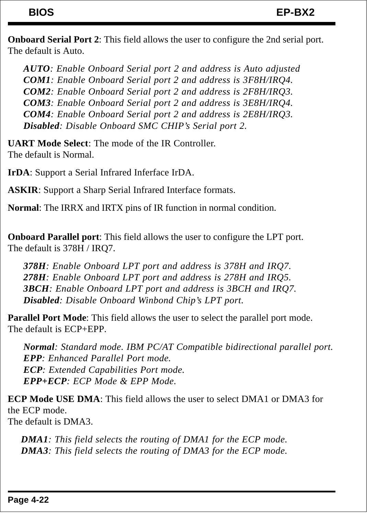**Onboard Serial Port 2**: This field allows the user to configure the 2nd serial port. The default is Auto.

*AUTO: Enable Onboard Serial port 2 and address is Auto adjusted COM1: Enable Onboard Serial port 2 and address is 3F8H/IRQ4. COM2: Enable Onboard Serial port 2 and address is 2F8H/IRQ3. COM3: Enable Onboard Serial port 2 and address is 3E8H/IRQ4. COM4: Enable Onboard Serial port 2 and address is 2E8H/IRQ3. Disabled: Disable Onboard SMC CHIP's Serial port 2.*

**UART Mode Select**: The mode of the IR Controller. The default is Normal.

**IrDA**: Support a Serial Infrared Inferface IrDA.

**ASKIR**: Support a Sharp Serial Infrared Interface formats.

**Normal**: The IRRX and IRTX pins of IR function in normal condition.

**Onboard Parallel port**: This field allows the user to configure the LPT port. The default is 378H / IRQ7.

*378H: Enable Onboard LPT port and address is 378H and IRQ7. 278H: Enable Onboard LPT port and address is 278H and IRQ5. 3BCH: Enable Onboard LPT port and address is 3BCH and IRQ7. Disabled: Disable Onboard Winbond Chip's LPT port.*

**Parallel Port Mode**: This field allows the user to select the parallel port mode. The default is ECP+EPP.

*Normal: Standard mode. IBM PC/AT Compatible bidirectional parallel port. EPP: Enhanced Parallel Port mode. ECP: Extended Capabilities Port mode. EPP+ECP: ECP Mode & EPP Mode.*

**ECP Mode USE DMA**: This field allows the user to select DMA1 or DMA3 for the ECP mode. The default is DMA3.

*DMA1: This field selects the routing of DMA1 for the ECP mode. DMA3: This field selects the routing of DMA3 for the ECP mode.*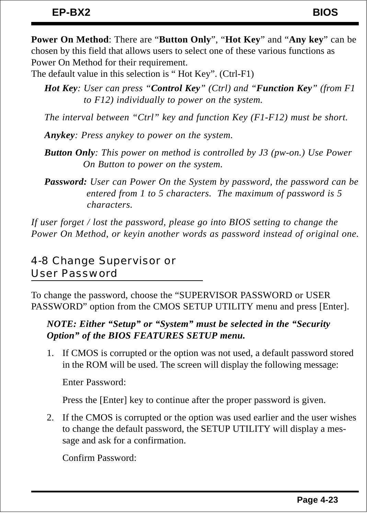**Power On Method**: There are "**Button Only**", "**Hot Key**" and "**Any key**" can be chosen by this field that allows users to select one of these various functions as Power On Method for their requirement.

The default value in this selection is " Hot Key". (Ctrl-F1)

*Hot Key: User can press "Control Key" (Ctrl) and "Function Key" (from F1 to F12) individually to power on the system.*

*The interval between "Ctrl" key and function Key (F1-F12) must be short.*

*Anykey: Press anykey to power on the system.*

*Button Only: This power on method is controlled by J3 (pw-on.) Use Power On Button to power on the system.*

*Password: User can Power On the System by password, the password can be entered from 1 to 5 characters. The maximum of password is 5 characters.*

*If user forget / lost the password, please go into BIOS setting to change the Power On Method, or keyin another words as password instead of original one.*

4-8 Change Supervisor or User Password

To change the password, choose the "SUPERVISOR PASSWORD or USER PASSWORD" option from the CMOS SETUP UTILITY menu and press [Enter].

#### *NOTE: Either "Setup" or "System" must be selected in the "Security Option" of the BIOS FEATURES SETUP menu.*

1. If CMOS is corrupted or the option was not used, a default password stored in the ROM will be used. The screen will display the following message:

Enter Password:

Press the [Enter] key to continue after the proper password is given.

2. If the CMOS is corrupted or the option was used earlier and the user wishes to change the default password, the SETUP UTILITY will display a message and ask for a confirmation.

Confirm Password: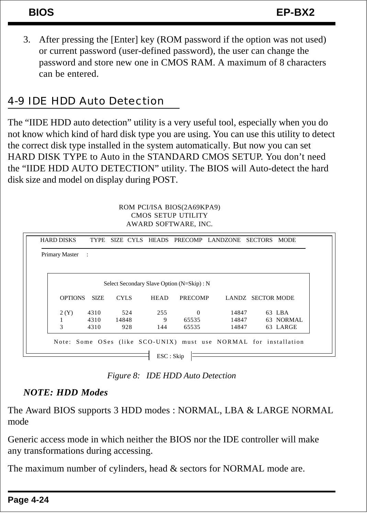3. After pressing the [Enter] key (ROM password if the option was not used) or current password (user-defined password), the user can change the password and store new one in CMOS RAM. A maximum of 8 characters can be entered.

# 4-9 IDE HDD Auto Detection

The "IIDE HDD auto detection" utility is a very useful tool, especially when you do not know which kind of hard disk type you are using. You can use this utility to detect the correct disk type installed in the system automatically. But now you can set HARD DISK TYPE to Auto in the STANDARD CMOS SETUP. You don't need the "IIDE HDD AUTO DETECTION" utility. The BIOS will Auto-detect the hard disk size and model on display during POST.

> ROM PCI/ISA BIOS(2A69KPA9) CMOS SETUP UTILITY AWARD SOFTWARE, INC.

|                |             |       |             | Select Secondary Slave Option (N=Skip) : N |       |                          |           |
|----------------|-------------|-------|-------------|--------------------------------------------|-------|--------------------------|-----------|
| <b>OPTIONS</b> | <b>SIZE</b> | CYLS  | <b>HEAD</b> | <b>PRECOMP</b>                             |       | <b>LANDZ SECTOR MODE</b> |           |
| 2(Y)           | 4310        | 524   | 255         | $\Omega$                                   | 14847 |                          | 63 LBA    |
|                | 4310        | 14848 | 9           | 65535                                      | 14847 |                          | 63 NORMAL |
| 3              | 4310        | 928   | 144         | 65535                                      | 14847 |                          | 63 LARGE  |

*Figure 8: IDE HDD Auto Detection*

#### *NOTE: HDD Modes*

The Award BIOS supports 3 HDD modes : NORMAL, LBA & LARGE NORMAL mode

Generic access mode in which neither the BIOS nor the IDE controller will make any transformations during accessing.

The maximum number of cylinders, head & sectors for NORMAL mode are.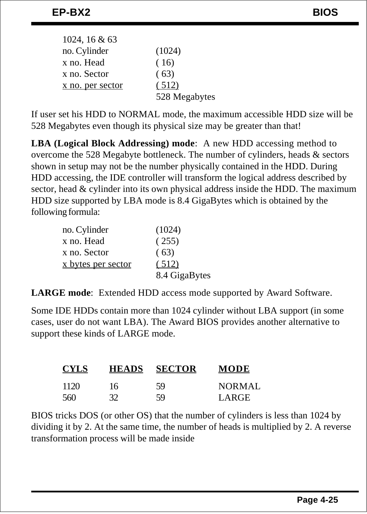| 1024, 16 $& 63$  |               |
|------------------|---------------|
| no. Cylinder     | (1024)        |
| x no. Head       | (16)          |
| x no. Sector     | (63)          |
| x no. per sector | (512)         |
|                  | 528 Megabytes |

If user set his HDD to NORMAL mode, the maximum accessible HDD size will be 528 Megabytes even though its physical size may be greater than that!

**LBA (Logical Block Addressing) mode**: A new HDD accessing method to overcome the 528 Megabyte bottleneck. The number of cylinders, heads & sectors shown in setup may not be the number physically contained in the HDD. During HDD accessing, the IDE controller will transform the logical address described by sector, head & cylinder into its own physical address inside the HDD. The maximum HDD size supported by LBA mode is 8.4 GigaBytes which is obtained by the following formula:

| (1024)        |
|---------------|
| (255)         |
| (63)          |
| (512)         |
| 8.4 GigaBytes |
|               |

**LARGE mode**: Extended HDD access mode supported by Award Software.

Some IDE HDDs contain more than 1024 cylinder without LBA support (in some cases, user do not want LBA). The Award BIOS provides another alternative to support these kinds of LARGE mode.

| <b>CYLS</b> | <b>HEADS</b> | <b>SECTOR</b> | <b>MODE</b> |
|-------------|--------------|---------------|-------------|
| 1120        | 16           | 59            | NORMAL      |
| 560         | 32           | 59            | LARGE       |

BIOS tricks DOS (or other OS) that the number of cylinders is less than 1024 by dividing it by 2. At the same time, the number of heads is multiplied by 2. A reverse transformation process will be made inside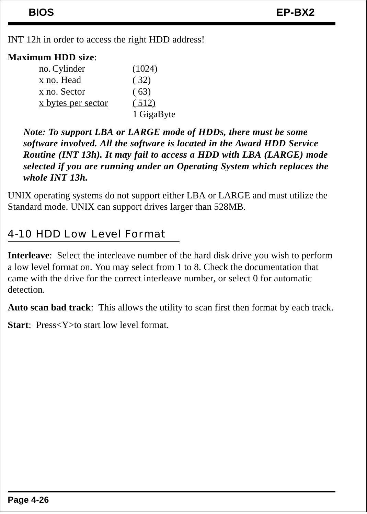INT 12h in order to access the right HDD address!

#### **Maximum HDD size**:

| no. Cylinder       | (1024)     |
|--------------------|------------|
| x no. Head         | (32)       |
| x no. Sector       | (63)       |
| x bytes per sector | (512)      |
|                    | 1 GigaByte |

*Note: To support LBA or LARGE mode of HDDs, there must be some software involved. All the software is located in the Award HDD Service Routine (INT 13h). It may fail to access a HDD with LBA (LARGE) mode selected if you are running under an Operating System which replaces the whole INT 13h.*

UNIX operating systems do not support either LBA or LARGE and must utilize the Standard mode. UNIX can support drives larger than 528MB.

# 4-10 HDD Low Level Format

**Interleave**: Select the interleave number of the hard disk drive you wish to perform a low level format on. You may select from 1 to 8. Check the documentation that came with the drive for the correct interleave number, or select 0 for automatic detection.

**Auto scan bad track**: This allows the utility to scan first then format by each track.

**Start:** Press<Y>to start low level format.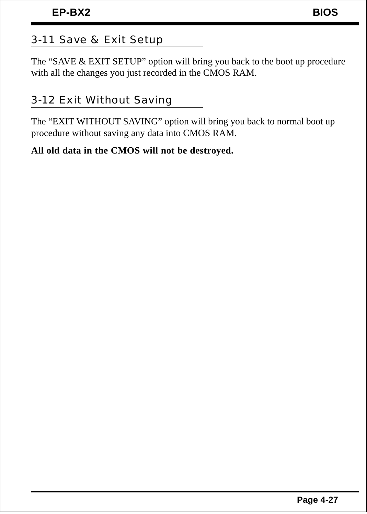# 3-11 Save & Exit Setup

The "SAVE & EXIT SETUP" option will bring you back to the boot up procedure with all the changes you just recorded in the CMOS RAM.

### 3-12 Exit Without Saving

The "EXIT WITHOUT SAVING" option will bring you back to normal boot up procedure without saving any data into CMOS RAM.

#### **All old data in the CMOS will not be destroyed.**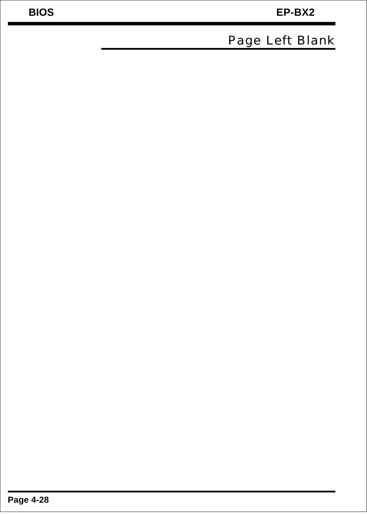# Page Left Blank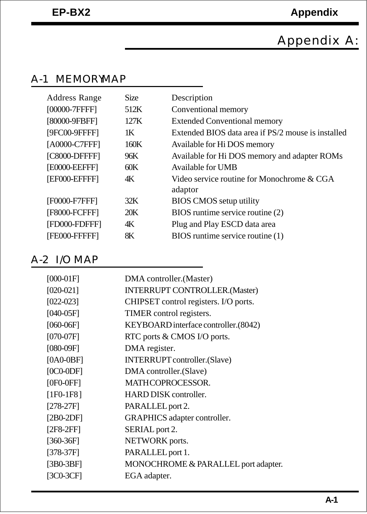# Appendix A:

# A-1 MEMORWAP

| <b>Address Range</b> | <b>Size</b> | Description                                           |
|----------------------|-------------|-------------------------------------------------------|
| [00000-7FFFF]        | 512K        | Conventional memory                                   |
| [80000-9FBFF]        | 127K        | <b>Extended Conventional memory</b>                   |
| [9FC00-9FFFF]        | 1Κ          | Extended BIOS data area if PS/2 mouse is installed    |
| [A0000-C7FFF]        | 160K        | Available for Hi DOS memory                           |
| [C8000-DFFFF]        | 96K         | Available for Hi DOS memory and adapter ROMs          |
| [E0000-EEFFF]        | 60K         | Available for UMB                                     |
| <b>[EF000-EFFFF]</b> | 4K          | Video service routine for Monochrome & CGA<br>adaptor |
| [F0000-F7FFF]        | 32K         | <b>BIOS CMOS</b> setup utility                        |
| [F8000-FCFFF]        | 20K         | BIOS runtime service routine (2)                      |
| [FD000-FDFFF]        | 4K          | Plug and Play ESCD data area                          |
| <b>IFE000-FFFFFI</b> | 8K          | BIOS runtime service routine (1)                      |

# A-2 I/O MAP

| DMA controller. (Master)              |
|---------------------------------------|
| <b>INTERRUPT CONTROLLER.</b> (Master) |
| CHIPSET control registers. I/O ports. |
| TIMER control registers.              |
| KEYBOARD interface controller. (8042) |
| RTC ports & CMOS I/O ports.           |
| DMA register.                         |
| INTERRUPT controller. (Slave)         |
| DMA controller. (Slave)               |
| <b>MATHCOPROCESSOR.</b>               |
| HARD DISK controller.                 |
| PARALLEL port 2.                      |
| GRAPHICS adapter controller.          |
| SERIAL port 2.                        |
| NETWORK ports.                        |
| PARALLEL port 1.                      |
| MONOCHROME & PARALLEL port adapter.   |
| EGA adapter.                          |
|                                       |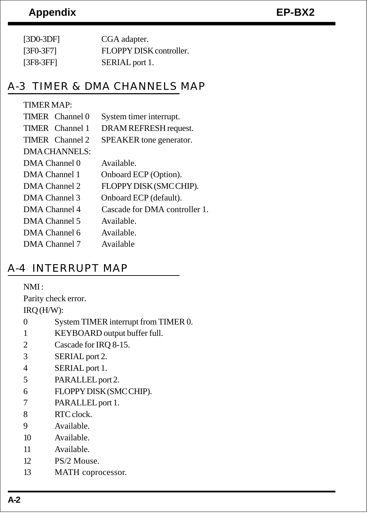# **Appendix**

| [3D0-3DF] | CGA adapter.            |
|-----------|-------------------------|
| [3F0-3F7] | FLOPPY DISK controller. |
| [3F8-3FF] | SERIAL port 1.          |

### A-3 TIMER & DMA CHANNELS MAP

#### TIMER MAP:

| TIMER Channel 0        | System timer interrupt.       |
|------------------------|-------------------------------|
| <b>TIMER</b> Channel 1 | DRAM REFRESH request.         |
| TIMER Channel 2        | SPEAKER tone generator.       |
| DMACHANNELS:           |                               |
| DMA Channel 0          | Available.                    |
| DMA Channel 1          | Onboard ECP (Option).         |
| DMA Channel 2          | FLOPPY DISK (SMCCHIP).        |
| DMA Channel 3          | Onboard ECP (default).        |
| DMA Channel 4          | Cascade for DMA controller 1. |
| DMA Channel 5          | Available.                    |
| DMA Channel 6          | Available.                    |
| DMA Channel 7          | Available                     |
|                        |                               |

### A-4 INTERRUPT MAP

NMI :

Parity check error.

IRQ (H/W):

- 0 System TIMER interrupt from TIMER 0.
- 1 KEYBOARD output buffer full.
- 2 Cascade for IRQ 8-15.
- 3 SERIAL port 2.
- 4 SERIAL port 1.
- 5 PARALLEL port 2.
- 6 FLOPPY DISK (SMC CHIP).
- 7 PARALLEL port 1.
- 8 RTC clock.
- 9 Available.
- 10 Available.
- 11 Available.
- 12 PS/2 Mouse.
- 13 MATH coprocessor.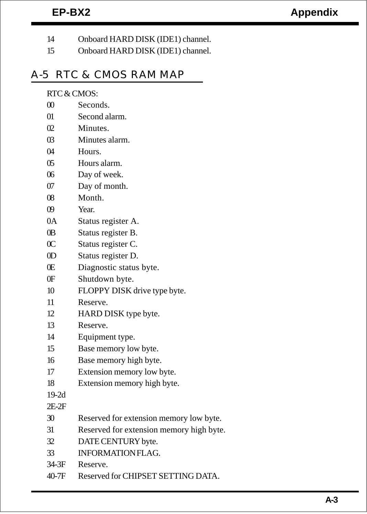- 14 Onboard HARD DISK (IDE1) channel.
- 15 Onboard HARD DISK (IDE1) channel.

#### A-5 RTC & CMOS RAM MAP

#### RTC & CMOS:

- 00 Seconds. 01 Second alarm. 02 Minutes. 03 Minutes alarm. 04 Hours. 05 Hours alarm. 06 Day of week. 07 Day of month. 08 Month. 09 Year. 0A Status register A. 0B Status register B. 0C Status register C. 0D Status register D. 0E Diagnostic status byte. 0F Shutdown byte. 10 FLOPPY DISK drive type byte. 11 Reserve. 12 HARD DISK type byte. 13 Reserve. 14 Equipment type. 15 Base memory low byte. 16 Base memory high byte. 17 Extension memory low byte. 18 Extension memory high byte. 19-2d 2E-2F 30 Reserved for extension memory low byte. 31 Reserved for extension memory high byte. 32 DATE CENTURY byte. 33 INFORMATION FLAG. 34-3F Reserve.
	- 40-7F Reserved for CHIPSET SETTING DATA.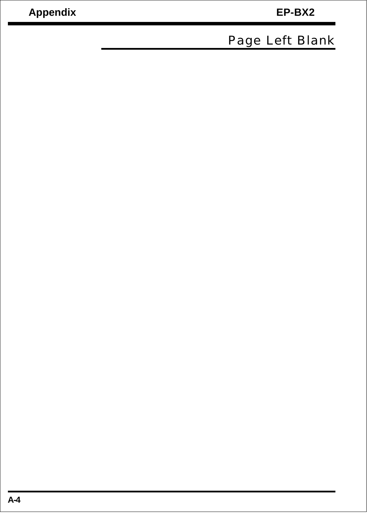# Page Left Blank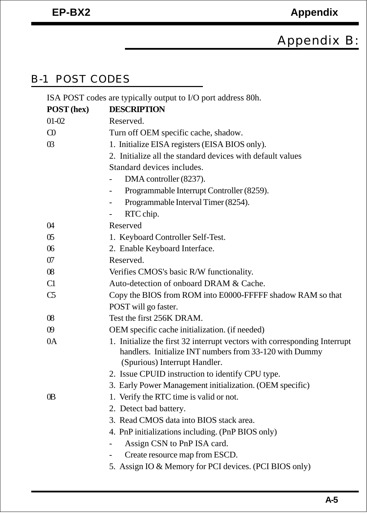# Appendix B:

# B-1 POST CODES

|                  | ISA POST codes are typically output to I/O port address 80h.                                                                                                          |
|------------------|-----------------------------------------------------------------------------------------------------------------------------------------------------------------------|
| POST (hex)       | <b>DESCRIPTION</b>                                                                                                                                                    |
| 01-02            | Reserved.                                                                                                                                                             |
| $\Omega$         | Turn off OEM specific cache, shadow.                                                                                                                                  |
| $\boldsymbol{0}$ | 1. Initialize EISA registers (EISA BIOS only).                                                                                                                        |
|                  | 2. Initialize all the standard devices with default values                                                                                                            |
|                  | Standard devices includes.                                                                                                                                            |
|                  | DMA controller (8237).                                                                                                                                                |
|                  | Programmable Interrupt Controller (8259).<br>$\overline{\phantom{a}}$                                                                                                 |
|                  | Programmable Interval Timer (8254).<br>$\overline{\phantom{m}}$                                                                                                       |
|                  | RTC chip.<br>$\overline{\phantom{0}}$                                                                                                                                 |
| $\Omega$         | Reserved                                                                                                                                                              |
| 05               | 1. Keyboard Controller Self-Test.                                                                                                                                     |
| 06               | 2. Enable Keyboard Interface.                                                                                                                                         |
| 07               | Reserved.                                                                                                                                                             |
| 08               | Verifies CMOS's basic R/W functionality.                                                                                                                              |
| C1               | Auto-detection of onboard DRAM & Cache.                                                                                                                               |
| C <sub>5</sub>   | Copy the BIOS from ROM into E0000-FFFFF shadow RAM so that                                                                                                            |
|                  | POST will go faster.                                                                                                                                                  |
| 08               | Test the first 256K DRAM.                                                                                                                                             |
| 09               | OEM specific cache initialization. (if needed)                                                                                                                        |
| 0A               | 1. Initialize the first 32 interrupt vectors with corresponding Interrupt<br>handlers. Initialize INT numbers from 33-120 with Dummy<br>(Spurious) Interrupt Handler. |
|                  | 2. Issue CPUID instruction to identify CPU type.                                                                                                                      |
|                  | 3. Early Power Management initialization. (OEM specific)                                                                                                              |
| <b>OB</b>        | 1. Verify the RTC time is valid or not.                                                                                                                               |
|                  | 2. Detect bad battery.                                                                                                                                                |
|                  | 3. Read CMOS data into BIOS stack area.                                                                                                                               |
|                  | 4. PnP initializations including. (PnP BIOS only)                                                                                                                     |
|                  | Assign CSN to PnP ISA card.<br>$\frac{1}{2}$                                                                                                                          |
|                  | Create resource map from ESCD.                                                                                                                                        |
|                  | 5. Assign IO & Memory for PCI devices. (PCI BIOS only)                                                                                                                |
|                  |                                                                                                                                                                       |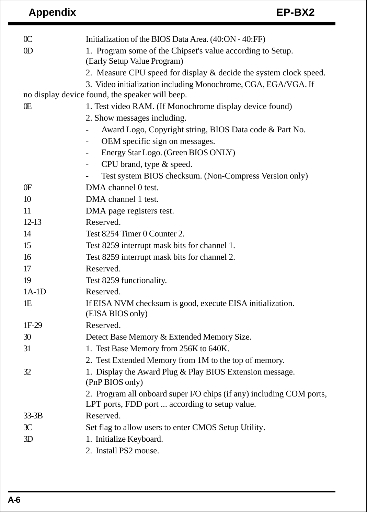| <b>Appendix</b> | EP-BX2                                                                                                                 |
|-----------------|------------------------------------------------------------------------------------------------------------------------|
| œ               | Initialization of the BIOS Data Area. (40:ON - 40:FF)                                                                  |
| 0D              | 1. Program some of the Chipset's value according to Setup.                                                             |
|                 | (Early Setup Value Program)                                                                                            |
|                 | 2. Measure CPU speed for display & decide the system clock speed.                                                      |
|                 | 3. Video initialization including Monochrome, CGA, EGA/VGA. If                                                         |
|                 | no display device found, the speaker will beep.                                                                        |
| Œ               | 1. Test video RAM. (If Monochrome display device found)                                                                |
|                 | 2. Show messages including.                                                                                            |
|                 | Award Logo, Copyright string, BIOS Data code & Part No.                                                                |
|                 | OEM specific sign on messages.                                                                                         |
|                 | Energy Star Logo. (Green BIOS ONLY)                                                                                    |
|                 | CPU brand, type & speed.                                                                                               |
|                 | Test system BIOS checksum. (Non-Compress Version only)                                                                 |
| 0F              | DMA channel 0 test.                                                                                                    |
| 10              | DMA channel 1 test.                                                                                                    |
| 11              | DMA page registers test.                                                                                               |
| $12 - 13$       | Reserved.                                                                                                              |
| 14              | Test 8254 Timer 0 Counter 2.                                                                                           |
| 15              | Test 8259 interrupt mask bits for channel 1.                                                                           |
| 16              | Test 8259 interrupt mask bits for channel 2.                                                                           |
| 17              | Reserved.                                                                                                              |
| 19              | Test 8259 functionality.                                                                                               |
| 1A-1D           | Reserved.                                                                                                              |
| 1E              | If EISA NVM checksum is good, execute EISA initialization.                                                             |
|                 | (EISA BIOS only)                                                                                                       |
| 1F-29           | Reserved.                                                                                                              |
| 30              | Detect Base Memory & Extended Memory Size.                                                                             |
| 31              | 1. Test Base Memory from 256K to 640K.                                                                                 |
|                 | 2. Test Extended Memory from 1M to the top of memory.                                                                  |
| 32              | 1. Display the Award Plug & Play BIOS Extension message.<br>(PnP BIOS only)                                            |
|                 | 2. Program all onboard super I/O chips (if any) including COM ports,<br>LPT ports, FDD port  according to setup value. |
| 33-3B           | Reserved.                                                                                                              |
| 3C              | Set flag to allow users to enter CMOS Setup Utility.                                                                   |
| 3D              | 1. Initialize Keyboard.                                                                                                |
|                 | 2. Install PS2 mouse.                                                                                                  |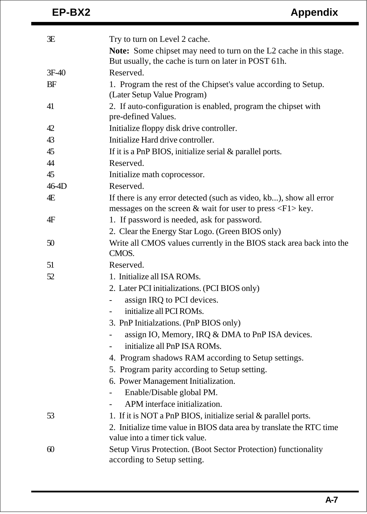| EP-BX2  | <b>Appendix</b>                                                                                                                         |  |
|---------|-----------------------------------------------------------------------------------------------------------------------------------------|--|
| 3E      | Try to turn on Level 2 cache.                                                                                                           |  |
|         | Note: Some chipset may need to turn on the L2 cache in this stage.<br>But usually, the cache is turn on later in POST 61h.              |  |
| $3F-40$ | Reserved.                                                                                                                               |  |
| BF      | 1. Program the rest of the Chipset's value according to Setup.<br>(Later Setup Value Program)                                           |  |
| 41      | 2. If auto-configuration is enabled, program the chipset with<br>pre-defined Values.                                                    |  |
| 42      | Initialize floppy disk drive controller.                                                                                                |  |
| 43      | Initialize Hard drive controller.                                                                                                       |  |
| 45      | If it is a PnP BIOS, initialize serial & parallel ports.                                                                                |  |
| 44      | Reserved.                                                                                                                               |  |
| 45      | Initialize math coprocessor.                                                                                                            |  |
| $46-4D$ | Reserved.                                                                                                                               |  |
| 4E      | If there is any error detected (such as video, kb), show all error<br>messages on the screen $\&$ wait for user to press <f1> key.</f1> |  |
| 4F      | 1. If password is needed, ask for password.                                                                                             |  |
|         | 2. Clear the Energy Star Logo. (Green BIOS only)                                                                                        |  |
| 50      | Write all CMOS values currently in the BIOS stack area back into the<br>CMOS.                                                           |  |
| 51      | Reserved.                                                                                                                               |  |
| 52      | 1. Initialize all ISA ROMs.                                                                                                             |  |
|         | 2. Later PCI initializations. (PCI BIOS only)                                                                                           |  |
|         | assign IRQ to PCI devices.                                                                                                              |  |
|         | initialize all PCI ROMs.                                                                                                                |  |
|         | 3. PnP Initialzations. (PnP BIOS only)                                                                                                  |  |
|         | assign IO, Memory, IRQ & DMA to PnP ISA devices.                                                                                        |  |
|         | initialize all PnP ISA ROMs.                                                                                                            |  |
|         | 4. Program shadows RAM according to Setup settings.                                                                                     |  |
|         | 5. Program parity according to Setup setting.                                                                                           |  |
|         | 6. Power Management Initialization.                                                                                                     |  |
|         | - Enable/Disable global PM.                                                                                                             |  |
|         | APM interface initialization.                                                                                                           |  |
| 53      | 1. If it is NOT a PnP BIOS, initialize serial & parallel ports.                                                                         |  |
|         | 2. Initialize time value in BIOS data area by translate the RTC time<br>value into a timer tick value.                                  |  |
| 60      | Setup Virus Protection. (Boot Sector Protection) functionality<br>according to Setup setting.                                           |  |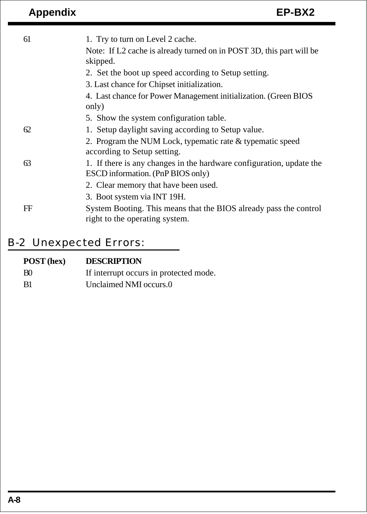| <b>Appendix</b> | EP-BX2                                                                                                    |
|-----------------|-----------------------------------------------------------------------------------------------------------|
| 61              | 1. Try to turn on Level 2 cache.                                                                          |
|                 | Note: If L2 cache is already turned on in POST 3D, this part will be<br>skipped.                          |
|                 | 2. Set the boot up speed according to Setup setting.                                                      |
|                 | 3. Last chance for Chipset initialization.                                                                |
|                 | 4. Last chance for Power Management initialization. (Green BIOS<br>only)                                  |
|                 | 5. Show the system configuration table.                                                                   |
| 62              | 1. Setup daylight saving according to Setup value.                                                        |
|                 | 2. Program the NUM Lock, typematic rate & typematic speed<br>according to Setup setting.                  |
| 63              | 1. If there is any changes in the hardware configuration, update the<br>ESCD information. (PnP BIOS only) |
|                 | 2. Clear memory that have been used.                                                                      |
|                 | 3. Boot system via INT 19H.                                                                               |
| FF              | System Booting. This means that the BIOS already pass the control<br>right to the operating system.       |

# B-2 Unexpected Errors:

| POST (hex)     | <b>DESCRIPTION</b>                     |  |
|----------------|----------------------------------------|--|
| B <sub>0</sub> | If interrupt occurs in protected mode. |  |
| - R1           | Unclaimed NMI occurs.0                 |  |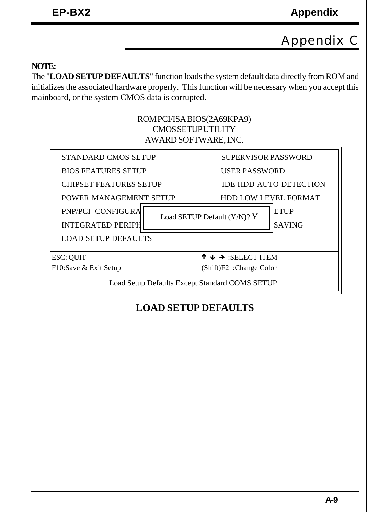# Appendix C

#### **NOTE:**

The "**LOAD SETUP DEFAULTS**" function loads the system default data directly from ROM and initializes the associated hardware properly. This function will be necessary when you accept this mainboard, or the system CMOS data is corrupted.

#### ROM PCI/ISA BIOS(2A69KPA9) CMOS SETUP UTILITY AWARD SOFTWARE, INC.

| STANDARD CMOS SETUP                            | SUPERVISOR PASSWORD                        |  |
|------------------------------------------------|--------------------------------------------|--|
| <b>BIOS FEATURES SETUP</b>                     | <b>USER PASSWORD</b>                       |  |
| <b>CHIPSET FEATURES SETUP</b>                  | <b>IDE HDD AUTO DETECTION</b>              |  |
| POWER MANAGEMENT SETUP                         | <b>HDD LOW LEVEL FORMAT</b>                |  |
| PNP/PCI CONFIGURA                              | <b>ETUP</b><br>Load SETUP Default (Y/N)? Y |  |
| <b>INTEGRATED PERIPH</b>                       | <b>SAVING</b>                              |  |
| <b>LOAD SETUP DEFAULTS</b>                     |                                            |  |
| <b>ESC: QUIT</b>                               | $\downarrow$ $\rightarrow$ :SELECT ITEM    |  |
| F10:Save & Exit Setup                          | (Shift)F2 :Change Color                    |  |
| Load Setup Defaults Except Standard COMS SETUP |                                            |  |

### **LOAD SETUP DEFAULTS**